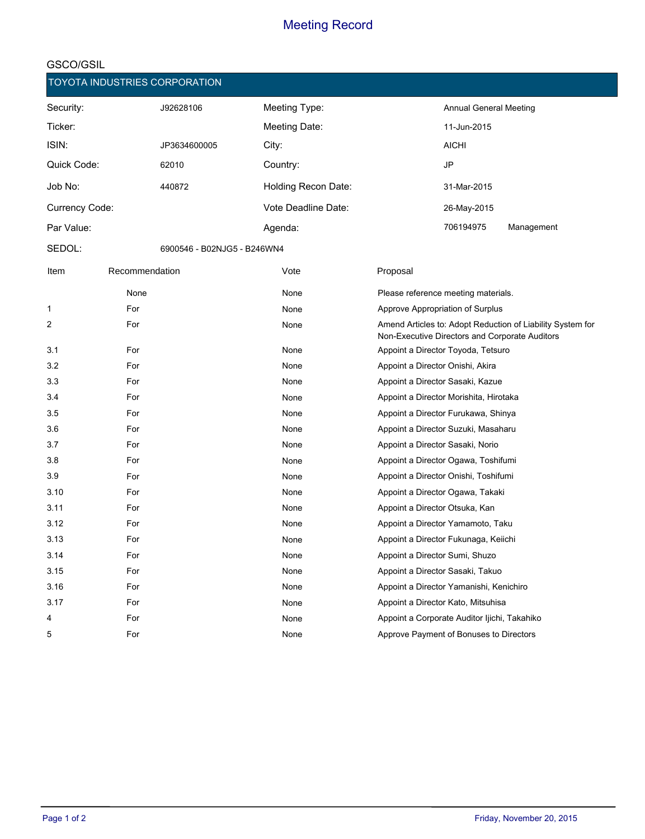|                |                | <b>TOYOTA INDUSTRIES CORPORATION</b> |                     |          |                                              |                                                                                                              |
|----------------|----------------|--------------------------------------|---------------------|----------|----------------------------------------------|--------------------------------------------------------------------------------------------------------------|
| Security:      |                | J92628106                            | Meeting Type:       |          | <b>Annual General Meeting</b>                |                                                                                                              |
| Ticker:        |                |                                      | Meeting Date:       |          | 11-Jun-2015                                  |                                                                                                              |
| ISIN:          |                | JP3634600005                         | City:               |          | AICHI                                        |                                                                                                              |
| Quick Code:    |                | 62010                                | Country:            |          | JP                                           |                                                                                                              |
| Job No:        |                | 440872                               | Holding Recon Date: |          | 31-Mar-2015                                  |                                                                                                              |
| Currency Code: |                |                                      | Vote Deadline Date: |          | 26-May-2015                                  |                                                                                                              |
| Par Value:     |                |                                      | Agenda:             |          | 706194975                                    | Management                                                                                                   |
| SEDOL:         |                | 6900546 - B02NJG5 - B246WN4          |                     |          |                                              |                                                                                                              |
| Item           | Recommendation |                                      | Vote                | Proposal |                                              |                                                                                                              |
|                | None           |                                      | None                |          | Please reference meeting materials.          |                                                                                                              |
| 1              | For            |                                      | None                |          | Approve Appropriation of Surplus             |                                                                                                              |
| 2              | For            |                                      | None                |          |                                              | Amend Articles to: Adopt Reduction of Liability System for<br>Non-Executive Directors and Corporate Auditors |
| 3.1            | For            |                                      | None                |          | Appoint a Director Toyoda, Tetsuro           |                                                                                                              |
| 3.2            | For            |                                      | None                |          | Appoint a Director Onishi, Akira             |                                                                                                              |
| 3.3            | For            |                                      | None                |          | Appoint a Director Sasaki, Kazue             |                                                                                                              |
| 3.4            | For            |                                      | None                |          | Appoint a Director Morishita, Hirotaka       |                                                                                                              |
| 3.5            | For            |                                      | None                |          | Appoint a Director Furukawa, Shinya          |                                                                                                              |
| 3.6            | For            |                                      | None                |          | Appoint a Director Suzuki, Masaharu          |                                                                                                              |
| 3.7            | For            |                                      | None                |          | Appoint a Director Sasaki, Norio             |                                                                                                              |
| 3.8            | For            |                                      | None                |          | Appoint a Director Ogawa, Toshifumi          |                                                                                                              |
| 3.9            | For            |                                      | None                |          | Appoint a Director Onishi, Toshifumi         |                                                                                                              |
| 3.10           | For            |                                      | None                |          | Appoint a Director Ogawa, Takaki             |                                                                                                              |
| 3.11           | For            |                                      | None                |          | Appoint a Director Otsuka, Kan               |                                                                                                              |
| 3.12           | For            |                                      | None                |          | Appoint a Director Yamamoto, Taku            |                                                                                                              |
| 3.13           | For            |                                      | None                |          | Appoint a Director Fukunaga, Keiichi         |                                                                                                              |
| 3.14           | For            |                                      | None                |          | Appoint a Director Sumi, Shuzo               |                                                                                                              |
| 3.15           | For            |                                      | None                |          | Appoint a Director Sasaki, Takuo             |                                                                                                              |
| 3.16           | For            |                                      | None                |          | Appoint a Director Yamanishi, Kenichiro      |                                                                                                              |
| 3.17           | For            |                                      | None                |          | Appoint a Director Kato, Mitsuhisa           |                                                                                                              |
| 4              | For            |                                      | None                |          | Appoint a Corporate Auditor Ijichi, Takahiko |                                                                                                              |
| 5              | For            |                                      | None                |          | Approve Payment of Bonuses to Directors      |                                                                                                              |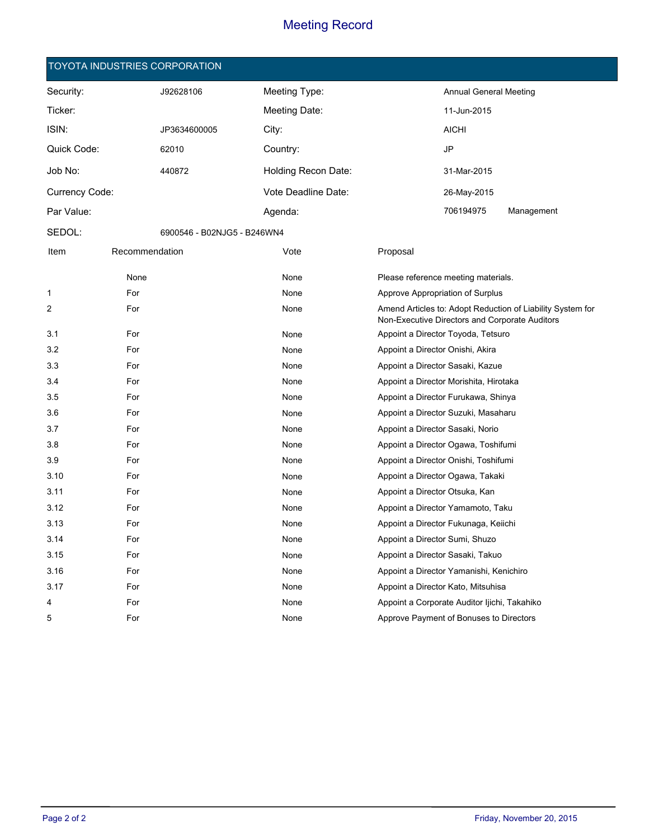#### **TOYOTA INDUSTRIES CORPORATION**

| Security:      |                | J92628106                   | Meeting Type:       |          | <b>Annual General Meeting</b>                |                                                                                                              |
|----------------|----------------|-----------------------------|---------------------|----------|----------------------------------------------|--------------------------------------------------------------------------------------------------------------|
| Ticker:        |                |                             | Meeting Date:       |          | 11-Jun-2015                                  |                                                                                                              |
| ISIN:          |                | JP3634600005                | City:               |          | <b>AICHI</b>                                 |                                                                                                              |
| Quick Code:    |                | 62010                       | Country:            |          | <b>JP</b>                                    |                                                                                                              |
| Job No:        |                | 440872                      | Holding Recon Date: |          | 31-Mar-2015                                  |                                                                                                              |
| Currency Code: |                |                             | Vote Deadline Date: |          | 26-May-2015                                  |                                                                                                              |
| Par Value:     |                |                             | Agenda:             |          | 706194975                                    | Management                                                                                                   |
| SEDOL:         |                | 6900546 - B02NJG5 - B246WN4 |                     |          |                                              |                                                                                                              |
| Item           | Recommendation |                             | Vote                | Proposal |                                              |                                                                                                              |
|                | None           |                             | None                |          | Please reference meeting materials.          |                                                                                                              |
| $\mathbf 1$    | For            |                             | None                |          | Approve Appropriation of Surplus             |                                                                                                              |
| 2              | For            |                             | None                |          |                                              | Amend Articles to: Adopt Reduction of Liability System for<br>Non-Executive Directors and Corporate Auditors |
| 3.1            | For            |                             | None                |          | Appoint a Director Toyoda, Tetsuro           |                                                                                                              |
| 3.2            | For            |                             | None                |          | Appoint a Director Onishi, Akira             |                                                                                                              |
| 3.3            | For            |                             | None                |          | Appoint a Director Sasaki, Kazue             |                                                                                                              |
| 3.4            | For            |                             | None                |          | Appoint a Director Morishita, Hirotaka       |                                                                                                              |
| 3.5            | For            |                             | None                |          | Appoint a Director Furukawa, Shinya          |                                                                                                              |
| 3.6            | For            |                             | None                |          | Appoint a Director Suzuki, Masaharu          |                                                                                                              |
| 3.7            | For            |                             | None                |          | Appoint a Director Sasaki, Norio             |                                                                                                              |
| 3.8            | For            |                             | None                |          | Appoint a Director Ogawa, Toshifumi          |                                                                                                              |
| 3.9            | For            |                             | None                |          | Appoint a Director Onishi, Toshifumi         |                                                                                                              |
| 3.10           | For            |                             | None                |          | Appoint a Director Ogawa, Takaki             |                                                                                                              |
| 3.11           | For            |                             | None                |          | Appoint a Director Otsuka, Kan               |                                                                                                              |
| 3.12           | For            |                             | None                |          | Appoint a Director Yamamoto, Taku            |                                                                                                              |
| 3.13           | For            |                             | None                |          | Appoint a Director Fukunaga, Keiichi         |                                                                                                              |
| 3.14           | For            |                             | None                |          | Appoint a Director Sumi, Shuzo               |                                                                                                              |
| 3.15           | For            |                             | None                |          | Appoint a Director Sasaki, Takuo             |                                                                                                              |
| 3.16           | For            |                             | None                |          | Appoint a Director Yamanishi, Kenichiro      |                                                                                                              |
| 3.17           | For            |                             | None                |          | Appoint a Director Kato, Mitsuhisa           |                                                                                                              |
| 4              | For            |                             | None                |          | Appoint a Corporate Auditor Ijichi, Takahiko |                                                                                                              |
| 5              | For            |                             | None                |          | Approve Payment of Bonuses to Directors      |                                                                                                              |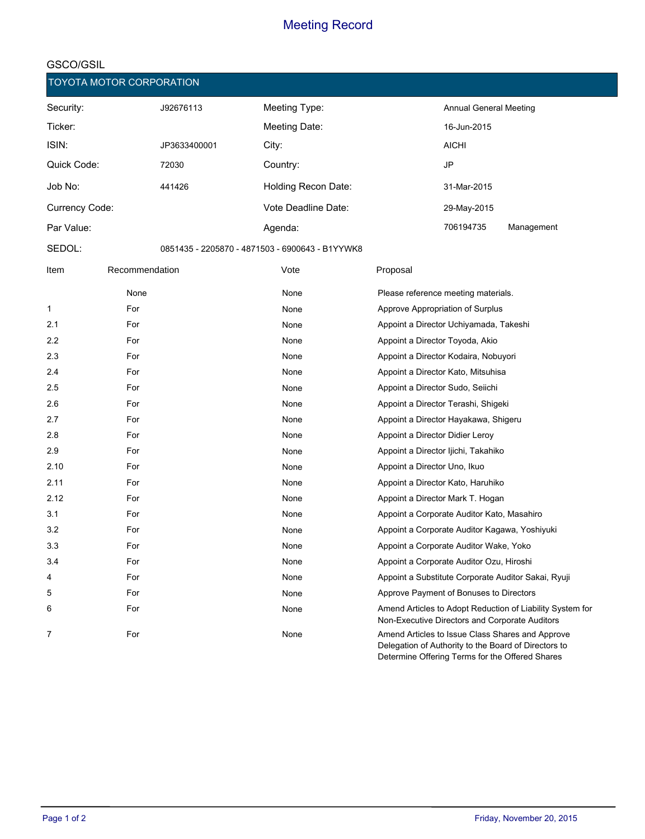#### **GSCO/GSIL**

|                | TOYOTA MOTOR CORPORATION |              |                                                 |                                                                                                             |
|----------------|--------------------------|--------------|-------------------------------------------------|-------------------------------------------------------------------------------------------------------------|
| Security:      |                          | J92676113    | Meeting Type:                                   | Annual General Meeting                                                                                      |
| Ticker:        |                          |              | Meeting Date:                                   | 16-Jun-2015                                                                                                 |
| ISIN:          |                          | JP3633400001 | City:                                           | <b>AICHI</b>                                                                                                |
| Quick Code:    |                          | 72030        | Country:                                        | JP                                                                                                          |
| Job No:        |                          | 441426       | <b>Holding Recon Date:</b>                      | 31-Mar-2015                                                                                                 |
| Currency Code: |                          |              | Vote Deadline Date:                             | 29-May-2015                                                                                                 |
| Par Value:     |                          |              | Agenda:                                         | 706194735<br>Management                                                                                     |
| SEDOL:         |                          |              | 0851435 - 2205870 - 4871503 - 6900643 - B1YYWK8 |                                                                                                             |
| Item           | Recommendation           |              | Vote                                            | Proposal                                                                                                    |
|                | None                     |              | None                                            | Please reference meeting materials.                                                                         |
| 1              | For                      |              | None                                            | Approve Appropriation of Surplus                                                                            |
| 2.1            | For                      |              | None                                            | Appoint a Director Uchiyamada, Takeshi                                                                      |
| 2.2            | For                      |              | None                                            | Appoint a Director Toyoda, Akio                                                                             |
| 2.3            | For                      |              | None                                            | Appoint a Director Kodaira, Nobuyori                                                                        |
| 2.4            | For                      |              | None                                            | Appoint a Director Kato, Mitsuhisa                                                                          |
| 2.5            | For                      |              | None                                            | Appoint a Director Sudo, Seiichi                                                                            |
| 2.6            | For                      |              | None                                            | Appoint a Director Terashi, Shigeki                                                                         |
| 2.7            | For                      |              | None                                            | Appoint a Director Hayakawa, Shigeru                                                                        |
| 2.8            | For                      |              | None                                            | Appoint a Director Didier Leroy                                                                             |
| 2.9            | For                      |              | None                                            | Appoint a Director Ijichi, Takahiko                                                                         |
| 2.10           | For                      |              | None                                            | Appoint a Director Uno, Ikuo                                                                                |
| 2.11           | For                      |              | None                                            | Appoint a Director Kato, Haruhiko                                                                           |
| 2.12           | For                      |              | None                                            | Appoint a Director Mark T. Hogan                                                                            |
| 3.1            | For                      |              | None                                            | Appoint a Corporate Auditor Kato, Masahiro                                                                  |
| 3.2            | For                      |              | None                                            | Appoint a Corporate Auditor Kagawa, Yoshiyuki                                                               |
| 3.3            | For                      |              | None                                            | Appoint a Corporate Auditor Wake, Yoko                                                                      |
| 3.4            | For                      |              | None                                            | Appoint a Corporate Auditor Ozu, Hiroshi                                                                    |
| 4              | For                      |              | None                                            | Appoint a Substitute Corporate Auditor Sakai, Ryuji                                                         |
| 5              | For                      |              | None                                            | Approve Payment of Bonuses to Directors                                                                     |
| 6              | For                      |              | None                                            | Amend Articles to Adopt Reduction of Liability System for<br>Non-Executive Directors and Corporate Auditors |
| 7              | For                      |              | None                                            | Amend Articles to Issue Class Shares and Approve<br>Delegation of Authority to the Board of Directors to    |

Determine Offering Terms for the Offered Shares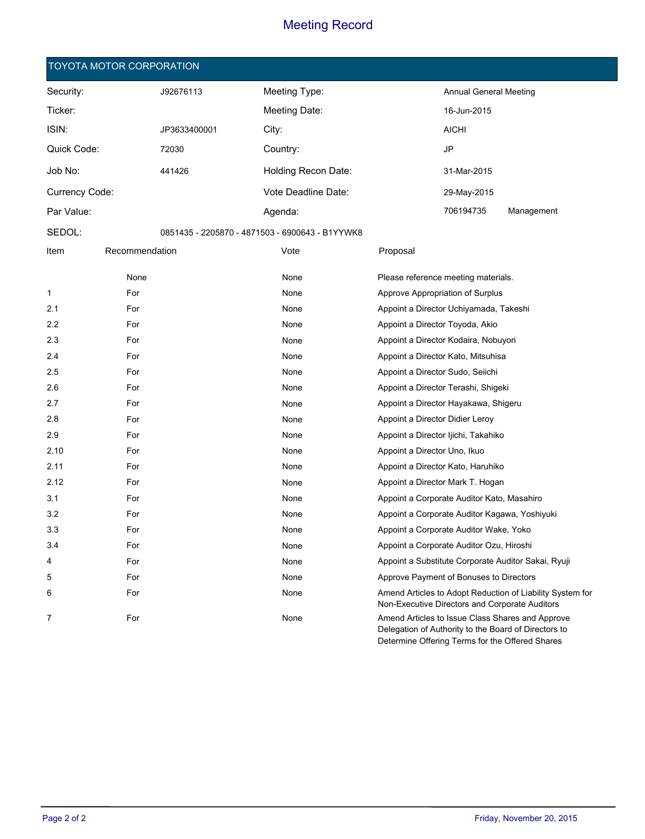#### **TOYOTA MOTOR CORPORATION**

| Security:             |                | J92676113    | Meeting Type:                                   |                                  | <b>Annual General Meeting</b>                 |            |
|-----------------------|----------------|--------------|-------------------------------------------------|----------------------------------|-----------------------------------------------|------------|
| Ticker:               |                |              | Meeting Date:                                   |                                  | 16-Jun-2015                                   |            |
| ISIN:                 |                | JP3633400001 | City:                                           |                                  | <b>AICHI</b>                                  |            |
| Quick Code:           |                | 72030        | Country:                                        |                                  | <b>JP</b>                                     |            |
| Job No:               |                | 441426       | Holding Recon Date:                             |                                  | 31-Mar-2015                                   |            |
| <b>Currency Code:</b> |                |              | Vote Deadline Date:                             |                                  | 29-May-2015                                   |            |
| Par Value:            |                |              | Agenda:                                         |                                  | 706194735                                     | Management |
| SEDOL:                |                |              | 0851435 - 2205870 - 4871503 - 6900643 - B1YYWK8 |                                  |                                               |            |
| Item                  | Recommendation |              | Vote                                            | Proposal                         |                                               |            |
|                       | None           |              | None                                            |                                  | Please reference meeting materials.           |            |
| 1                     | For            |              | None                                            |                                  | Approve Appropriation of Surplus              |            |
| 2.1                   | For            |              | None                                            |                                  | Appoint a Director Uchiyamada, Takeshi        |            |
| 2.2                   | For            |              | None                                            | Appoint a Director Toyoda, Akio  |                                               |            |
| 2.3                   | For            |              | None                                            |                                  | Appoint a Director Kodaira, Nobuyori          |            |
| 2.4                   | For            |              | None                                            |                                  | Appoint a Director Kato, Mitsuhisa            |            |
| 2.5                   | For            |              | None                                            | Appoint a Director Sudo, Seiichi |                                               |            |
| 2.6                   | For            |              | None                                            |                                  | Appoint a Director Terashi, Shigeki           |            |
| 2.7                   | For            |              | None                                            |                                  | Appoint a Director Hayakawa, Shigeru          |            |
| 2.8                   | For            |              | None                                            | Appoint a Director Didier Leroy  |                                               |            |
| 2.9                   | For            |              | None                                            |                                  | Appoint a Director Ijichi, Takahiko           |            |
| 2.10                  | For            |              | None                                            | Appoint a Director Uno, Ikuo     |                                               |            |
| 2.11                  | For            |              | None                                            |                                  | Appoint a Director Kato, Haruhiko             |            |
| 2.12                  | For            |              | None                                            |                                  | Appoint a Director Mark T. Hogan              |            |
| 3.1                   | For            |              | None                                            |                                  | Appoint a Corporate Auditor Kato, Masahiro    |            |
| 3.2                   | For            |              | None                                            |                                  | Appoint a Corporate Auditor Kagawa, Yoshiyuki |            |

3.3 For For Research Company None Appoint a Corporate Auditor Wake, Yoko 3.4 **For** For **For Appoint a Corporate Auditor Ozu, Hiroshi** and Appoint a Corporate Auditor Ozu, Hiroshi

5 **For** For **For Research Approve Payment of Bonuses to Directors** 

None

None

4 For For Research Mone Appoint a Substitute Corporate Auditor Sakai, Ryuji

7 **Amend Articles to Issue Class Shares and Approve None Conserverse Amend Articles to Issue Class Shares and Approve** 

6 Amend Articles to Adopt Reduction of Liability System for

Non-Executive Directors and Corporate Auditors

Delegation of Authority to the Board of Directors to Determine Offering Terms for the Offered Shares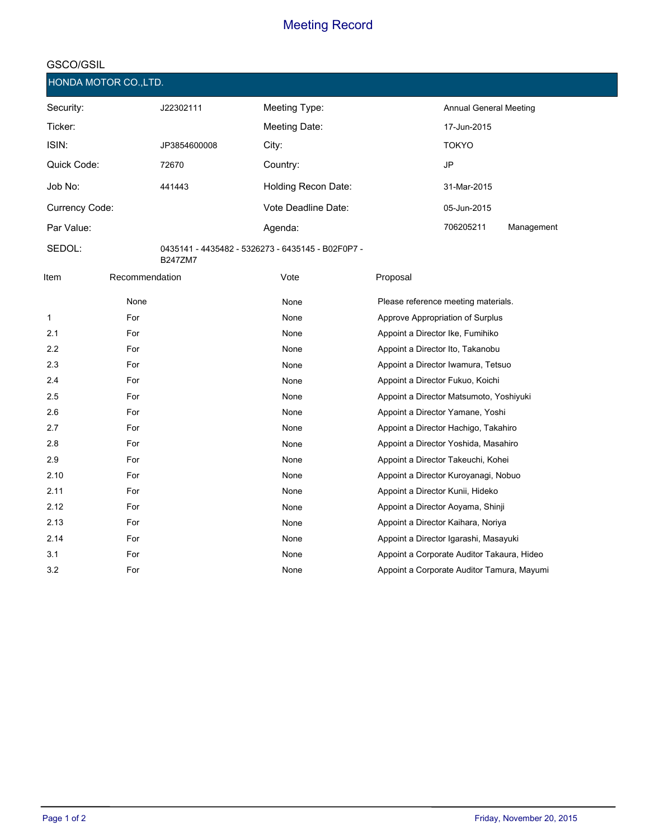| HONDA MOTOR CO., LTD. |                |                |                                                   |          |                                            |            |
|-----------------------|----------------|----------------|---------------------------------------------------|----------|--------------------------------------------|------------|
| Security:             |                | J22302111      | Meeting Type:                                     |          | Annual General Meeting                     |            |
| Ticker:               |                |                | Meeting Date:                                     |          | 17-Jun-2015                                |            |
| ISIN:                 |                | JP3854600008   | City:                                             |          | <b>TOKYO</b>                               |            |
| Quick Code:           |                | 72670          | Country:                                          |          | <b>JP</b>                                  |            |
| Job No:               |                | 441443         | Holding Recon Date:                               |          | 31-Mar-2015                                |            |
| Currency Code:        |                |                | Vote Deadline Date:                               |          | 05-Jun-2015                                |            |
| Par Value:            |                |                | Agenda:                                           |          | 706205211                                  | Management |
| SEDOL:                |                | <b>B247ZM7</b> | 0435141 - 4435482 - 5326273 - 6435145 - B02F0P7 - |          |                                            |            |
| Item                  | Recommendation |                | Vote                                              | Proposal |                                            |            |
|                       | None           |                | None                                              |          | Please reference meeting materials.        |            |
| $\mathbf{1}$          | For            |                | None                                              |          | Approve Appropriation of Surplus           |            |
| 2.1                   | For            |                | None                                              |          | Appoint a Director Ike, Fumihiko           |            |
| 2.2                   | For            |                | None                                              |          | Appoint a Director Ito, Takanobu           |            |
| 2.3                   | For            |                | None                                              |          | Appoint a Director Iwamura, Tetsuo         |            |
| 2.4                   | For            |                | None                                              |          | Appoint a Director Fukuo, Koichi           |            |
| 2.5                   | For            |                | None                                              |          | Appoint a Director Matsumoto, Yoshiyuki    |            |
| 2.6                   | For            |                | None                                              |          | Appoint a Director Yamane, Yoshi           |            |
| 2.7                   | For            |                | None                                              |          | Appoint a Director Hachigo, Takahiro       |            |
| 2.8                   | For            |                | None                                              |          | Appoint a Director Yoshida, Masahiro       |            |
| 2.9                   | For            |                | None                                              |          | Appoint a Director Takeuchi, Kohei         |            |
| 2.10                  | For            |                | None                                              |          | Appoint a Director Kuroyanagi, Nobuo       |            |
| 2.11                  | For            |                | None                                              |          | Appoint a Director Kunii, Hideko           |            |
| 2.12                  | For            |                | None                                              |          | Appoint a Director Aoyama, Shinji          |            |
| 2.13                  | For            |                | None                                              |          | Appoint a Director Kaihara, Noriya         |            |
| 2.14                  | For            |                | None                                              |          | Appoint a Director Igarashi, Masayuki      |            |
| 3.1                   | For            |                | None                                              |          | Appoint a Corporate Auditor Takaura, Hideo |            |
| 3.2                   | For            |                | None                                              |          | Appoint a Corporate Auditor Tamura, Mayumi |            |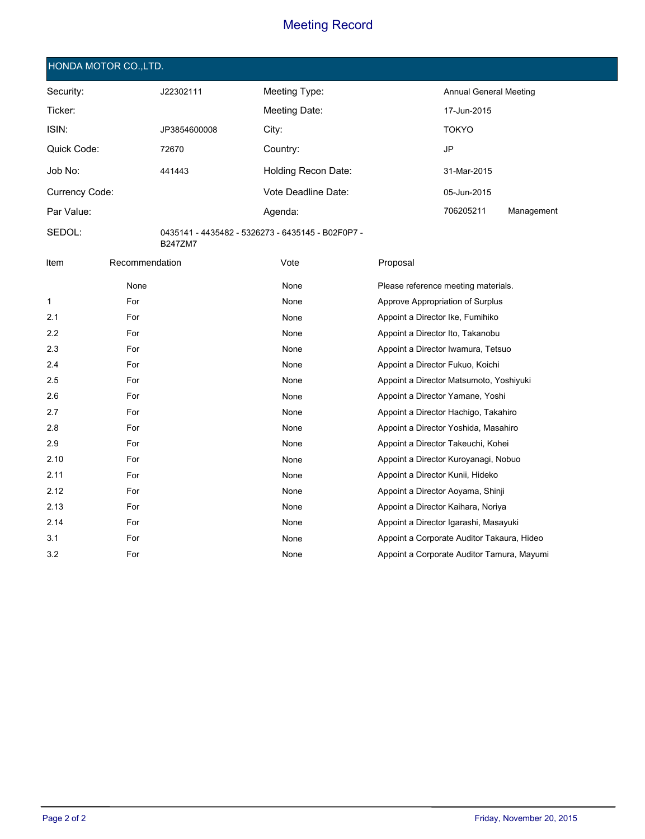|  | HONDA MOTOR CO.,LTD., |  |
|--|-----------------------|--|
|  |                       |  |

| Security:      | J22302111    | Meeting Type:       | Annual General Meeting |            |
|----------------|--------------|---------------------|------------------------|------------|
| Ticker:        |              | Meeting Date:       | 17-Jun-2015            |            |
| ISIN:          | JP3854600008 | City:               | <b>TOKYO</b>           |            |
| Quick Code:    | 72670        | Country:            | JP                     |            |
| Job No:        | 441443       | Holding Recon Date: | 31-Mar-2015            |            |
| Currency Code: |              | Vote Deadline Date: | 05-Jun-2015            |            |
| Par Value:     |              | Agenda:             | 706205211              | Management |

**SEDOL:** 0435141 - 4435482 - 5326273 - 6435145 - B02F0P7 - B247ZM7

| Item | Recommendation | Vote | Proposal                                   |
|------|----------------|------|--------------------------------------------|
|      | None           | None | Please reference meeting materials.        |
| 1    | For            | None | Approve Appropriation of Surplus           |
| 2.1  | For            | None | Appoint a Director Ike, Fumihiko           |
| 2.2  | For            | None | Appoint a Director Ito, Takanobu           |
| 2.3  | For            | None | Appoint a Director Iwamura, Tetsuo         |
| 2.4  | For            | None | Appoint a Director Fukuo, Koichi           |
| 2.5  | For            | None | Appoint a Director Matsumoto, Yoshiyuki    |
| 2.6  | For            | None | Appoint a Director Yamane, Yoshi           |
| 2.7  | For            | None | Appoint a Director Hachigo, Takahiro       |
| 2.8  | For            | None | Appoint a Director Yoshida, Masahiro       |
| 2.9  | For            | None | Appoint a Director Takeuchi, Kohei         |
| 2.10 | For            | None | Appoint a Director Kuroyanagi, Nobuo       |
| 2.11 | For            | None | Appoint a Director Kunii, Hideko           |
| 2.12 | For            | None | Appoint a Director Aoyama, Shinji          |
| 2.13 | For            | None | Appoint a Director Kaihara, Noriya         |
| 2.14 | For            | None | Appoint a Director Igarashi, Masayuki      |
| 3.1  | For            | None | Appoint a Corporate Auditor Takaura, Hideo |
| 3.2  | For            | None | Appoint a Corporate Auditor Tamura, Mayumi |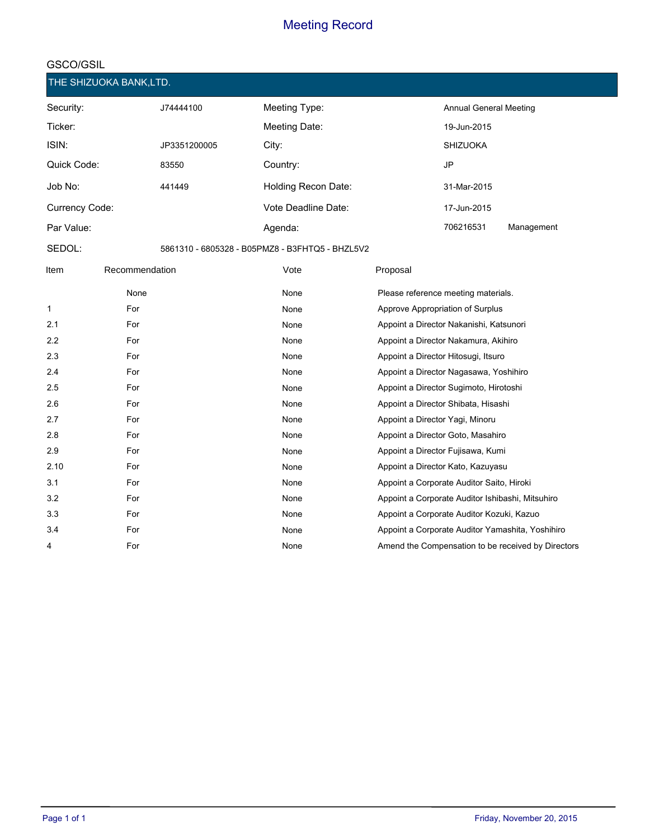| THE SHIZUOKA BANK,LTD. |              |                                                 |                               |            |
|------------------------|--------------|-------------------------------------------------|-------------------------------|------------|
| Security:              | J74444100    | Meeting Type:                                   | <b>Annual General Meeting</b> |            |
| Ticker:                |              | Meeting Date:                                   | 19-Jun-2015                   |            |
| ISIN:                  | JP3351200005 | City:                                           | <b>SHIZUOKA</b>               |            |
| Quick Code:            | 83550        | Country:                                        | JP                            |            |
| Job No:                | 441449       | Holding Recon Date:                             | 31-Mar-2015                   |            |
| Currency Code:         |              | Vote Deadline Date:                             | 17-Jun-2015                   |            |
| Par Value:             |              | Agenda:                                         | 706216531                     | Management |
| SEDOL:                 |              | 5861310 - 6805328 - B05PMZ8 - B3FHTQ5 - BHZL5V2 |                               |            |

| Item | Recommendation | Vote | Proposal                                           |
|------|----------------|------|----------------------------------------------------|
|      | None           | None | Please reference meeting materials.                |
| 1    | For            | None | Approve Appropriation of Surplus                   |
| 2.1  | For            | None | Appoint a Director Nakanishi, Katsunori            |
| 2.2  | For            | None | Appoint a Director Nakamura, Akihiro               |
| 2.3  | For            | None | Appoint a Director Hitosugi, Itsuro                |
| 2.4  | For            | None | Appoint a Director Nagasawa, Yoshihiro             |
| 2.5  | For            | None | Appoint a Director Sugimoto, Hirotoshi             |
| 2.6  | For            | None | Appoint a Director Shibata, Hisashi                |
| 2.7  | For            | None | Appoint a Director Yagi, Minoru                    |
| 2.8  | For            | None | Appoint a Director Goto, Masahiro                  |
| 2.9  | For            | None | Appoint a Director Fujisawa, Kumi                  |
| 2.10 | For            | None | Appoint a Director Kato, Kazuyasu                  |
| 3.1  | For            | None | Appoint a Corporate Auditor Saito, Hiroki          |
| 3.2  | For            | None | Appoint a Corporate Auditor Ishibashi, Mitsuhiro   |
| 3.3  | For            | None | Appoint a Corporate Auditor Kozuki, Kazuo          |
| 3.4  | For            | None | Appoint a Corporate Auditor Yamashita, Yoshihiro   |
| 4    | For            | None | Amend the Compensation to be received by Directors |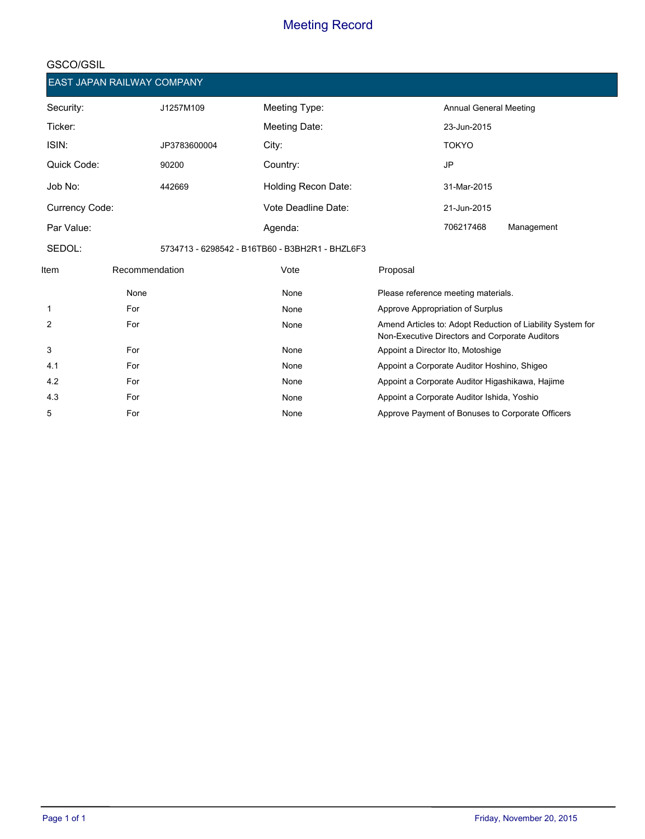| EAST JAPAN RAILWAY COMPANY |                |              |                                                 |          |                                                |                                                            |
|----------------------------|----------------|--------------|-------------------------------------------------|----------|------------------------------------------------|------------------------------------------------------------|
| Security:                  |                | J1257M109    | Meeting Type:                                   |          | <b>Annual General Meeting</b>                  |                                                            |
| Ticker:                    |                |              | Meeting Date:                                   |          | 23-Jun-2015                                    |                                                            |
| ISIN:                      |                | JP3783600004 | City:                                           |          | <b>TOKYO</b>                                   |                                                            |
| Quick Code:                |                | 90200        | Country:                                        |          | <b>JP</b>                                      |                                                            |
| Job No:                    |                | 442669       | Holding Recon Date:                             |          | 31-Mar-2015                                    |                                                            |
| Currency Code:             |                |              | Vote Deadline Date:                             |          | 21-Jun-2015                                    |                                                            |
| Par Value:                 |                |              | Agenda:                                         |          | 706217468                                      | Management                                                 |
| SEDOL:                     |                |              | 5734713 - 6298542 - B16TB60 - B3BH2R1 - BHZL6F3 |          |                                                |                                                            |
| ltem                       | Recommendation |              | Vote                                            | Proposal |                                                |                                                            |
|                            | None           |              | None                                            |          | Please reference meeting materials.            |                                                            |
| 1                          | For            |              | None                                            |          | Approve Appropriation of Surplus               |                                                            |
| 2                          | For            |              | None                                            |          | Non-Executive Directors and Corporate Auditors | Amend Articles to: Adopt Reduction of Liability System for |
| 3                          | For            |              | None                                            |          | Appoint a Director Ito, Motoshige              |                                                            |
| 4.1                        | For            |              | None                                            |          | Appoint a Corporate Auditor Hoshino, Shigeo    |                                                            |
| 4.2                        | For            |              | None                                            |          |                                                | Appoint a Corporate Auditor Higashikawa, Hajime            |
| 4.3                        | For            |              | None                                            |          | Appoint a Corporate Auditor Ishida, Yoshio     |                                                            |
| 5                          | For            |              | None                                            |          |                                                | Approve Payment of Bonuses to Corporate Officers           |
|                            |                |              |                                                 |          |                                                |                                                            |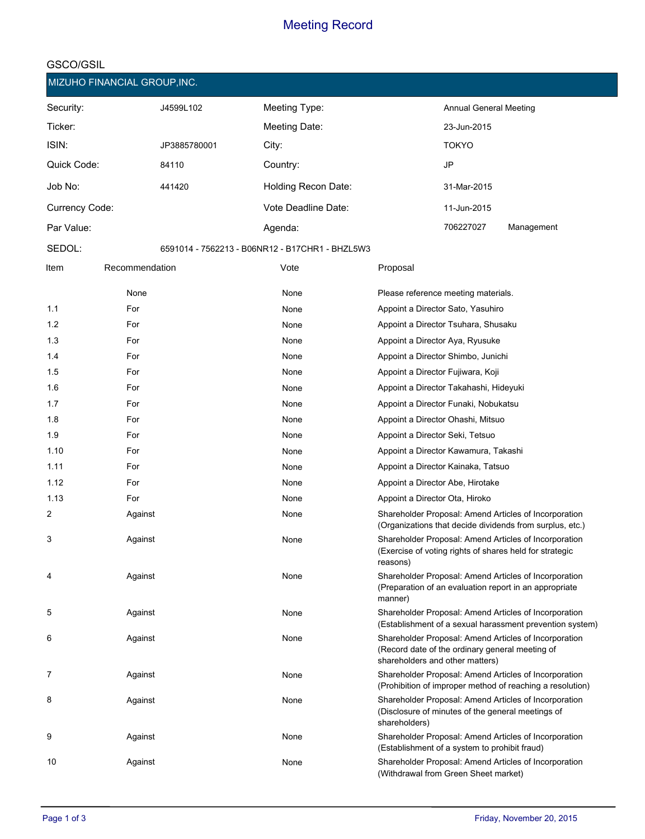|                | MIZUHO FINANCIAL GROUP, INC. |              |                                                 |                                                                                                                                             |
|----------------|------------------------------|--------------|-------------------------------------------------|---------------------------------------------------------------------------------------------------------------------------------------------|
| Security:      |                              | J4599L102    | Meeting Type:                                   | <b>Annual General Meeting</b>                                                                                                               |
| Ticker:        |                              |              | Meeting Date:                                   | 23-Jun-2015                                                                                                                                 |
| ISIN:          |                              | JP3885780001 | City:                                           | <b>TOKYO</b>                                                                                                                                |
| Quick Code:    |                              | 84110        | Country:                                        | <b>JP</b>                                                                                                                                   |
| Job No:        |                              | 441420       | Holding Recon Date:                             | 31-Mar-2015                                                                                                                                 |
| Currency Code: |                              |              | Vote Deadline Date:                             | 11-Jun-2015                                                                                                                                 |
| Par Value:     |                              |              | Agenda:                                         | 706227027<br>Management                                                                                                                     |
| SEDOL:         |                              |              | 6591014 - 7562213 - B06NR12 - B17CHR1 - BHZL5W3 |                                                                                                                                             |
| Item           | Recommendation               |              | Vote                                            | Proposal                                                                                                                                    |
|                | None                         |              | None                                            | Please reference meeting materials.                                                                                                         |
| 1.1            | For                          |              | None                                            | Appoint a Director Sato, Yasuhiro                                                                                                           |
| 1.2            | For                          |              | None                                            | Appoint a Director Tsuhara, Shusaku                                                                                                         |
| 1.3            | For                          |              | None                                            | Appoint a Director Aya, Ryusuke                                                                                                             |
| 1.4            | For                          |              | None                                            | Appoint a Director Shimbo, Junichi                                                                                                          |
| 1.5            | For                          |              | None                                            | Appoint a Director Fujiwara, Koji                                                                                                           |
| 1.6            | For                          |              | None                                            | Appoint a Director Takahashi, Hideyuki                                                                                                      |
| 1.7            | For                          |              | None                                            | Appoint a Director Funaki, Nobukatsu                                                                                                        |
| 1.8            | For                          |              | None                                            | Appoint a Director Ohashi, Mitsuo                                                                                                           |
| 1.9            | For                          |              | None                                            | Appoint a Director Seki, Tetsuo                                                                                                             |
| 1.10           | For                          |              | None                                            | Appoint a Director Kawamura, Takashi                                                                                                        |
| 1.11           | For                          |              | None                                            | Appoint a Director Kainaka, Tatsuo                                                                                                          |
| 1.12           | For                          |              | None                                            | Appoint a Director Abe, Hirotake                                                                                                            |
| 1.13           | For                          |              | None                                            | Appoint a Director Ota, Hiroko                                                                                                              |
| 2              | Against                      |              | None                                            | Shareholder Proposal: Amend Articles of Incorporation<br>(Organizations that decide dividends from surplus, etc.)                           |
| 3              | Against                      |              | None                                            | Shareholder Proposal: Amend Articles of Incorporation<br>(Exercise of voting rights of shares held for strategic<br>reasons)                |
| 4              | Against                      |              | None                                            | Shareholder Proposal: Amend Articles of Incorporation<br>(Preparation of an evaluation report in an appropriate<br>manner)                  |
| 5              | Against                      |              | None                                            | Shareholder Proposal: Amend Articles of Incorporation<br>(Establishment of a sexual harassment prevention system)                           |
| 6              | Against                      |              | None                                            | Shareholder Proposal: Amend Articles of Incorporation<br>(Record date of the ordinary general meeting of<br>shareholders and other matters) |
| 7              | Against                      |              | None                                            | Shareholder Proposal: Amend Articles of Incorporation<br>(Prohibition of improper method of reaching a resolution)                          |
| 8              | Against                      |              | None                                            | Shareholder Proposal: Amend Articles of Incorporation<br>(Disclosure of minutes of the general meetings of<br>shareholders)                 |
| 9              | Against                      |              | None                                            | Shareholder Proposal: Amend Articles of Incorporation<br>(Establishment of a system to prohibit fraud)                                      |
| 10             | Against                      |              | None                                            | Shareholder Proposal: Amend Articles of Incorporation<br>(Withdrawal from Green Sheet market)                                               |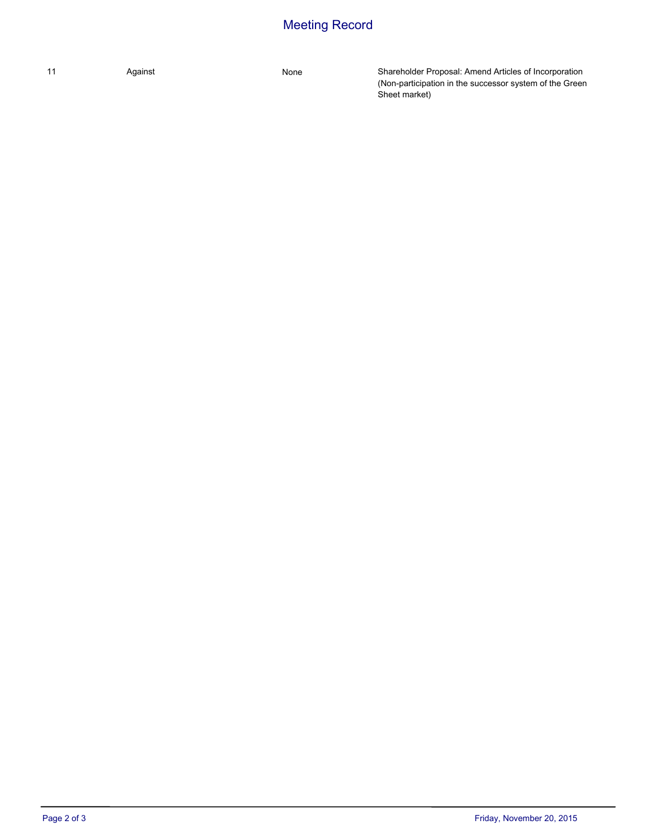Against

11 Against Against Against Shareholder Proposal: Amend Articles of Incorporation (Non-participation in the successor system of the Green Sheet market)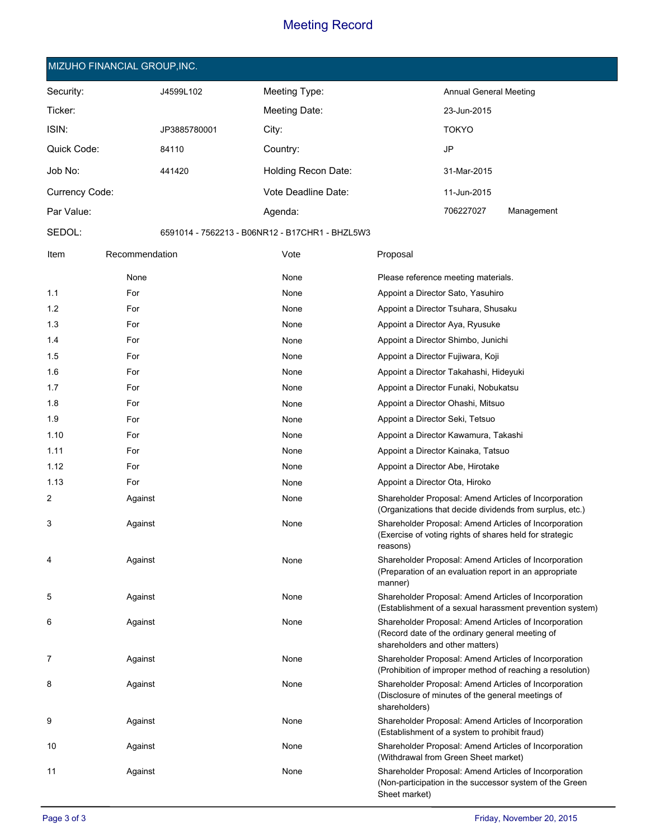#### **MIZUHO FINANCIAL GROUP,INC.**

**SEDOL:**

| Security:      | J4599L102    | Meeting Type:       | Annual General Meeting |            |
|----------------|--------------|---------------------|------------------------|------------|
| Ticker:        |              | Meeting Date:       | 23-Jun-2015            |            |
| ISIN:          | JP3885780001 | City:               | <b>TOKYO</b>           |            |
| Quick Code:    | 84110        | Country:            | JP                     |            |
| Job No:        | 441420       | Holding Recon Date: | 31-Mar-2015            |            |
| Currency Code: |              | Vote Deadline Date: | 11-Jun-2015            |            |
| Par Value:     |              | Agenda:             | 706227027              | Management |

6591014 - 7562213 - B06NR12 - B17CHR1 - BHZL5W3

| Item | Recommendation | Vote | Proposal                                                                                                                                    |
|------|----------------|------|---------------------------------------------------------------------------------------------------------------------------------------------|
|      | None           | None | Please reference meeting materials.                                                                                                         |
| 1.1  | For            | None | Appoint a Director Sato, Yasuhiro                                                                                                           |
| 1.2  | For            | None | Appoint a Director Tsuhara, Shusaku                                                                                                         |
| 1.3  | For            | None | Appoint a Director Aya, Ryusuke                                                                                                             |
| 1.4  | For            | None | Appoint a Director Shimbo, Junichi                                                                                                          |
| 1.5  | For            | None | Appoint a Director Fujiwara, Koji                                                                                                           |
| 1.6  | For            | None | Appoint a Director Takahashi, Hideyuki                                                                                                      |
| 1.7  | For            | None | Appoint a Director Funaki, Nobukatsu                                                                                                        |
| 1.8  | For            | None | Appoint a Director Ohashi, Mitsuo                                                                                                           |
| 1.9  | For            | None | Appoint a Director Seki, Tetsuo                                                                                                             |
| 1.10 | For            | None | Appoint a Director Kawamura, Takashi                                                                                                        |
| 1.11 | For            | None | Appoint a Director Kainaka, Tatsuo                                                                                                          |
| 1.12 | For            | None | Appoint a Director Abe, Hirotake                                                                                                            |
| 1.13 | For            | None | Appoint a Director Ota, Hiroko                                                                                                              |
| 2    | Against        | None | Shareholder Proposal: Amend Articles of Incorporation<br>(Organizations that decide dividends from surplus, etc.)                           |
| 3    | Against        | None | Shareholder Proposal: Amend Articles of Incorporation<br>(Exercise of voting rights of shares held for strategic<br>reasons)                |
| 4    | Against        | None | Shareholder Proposal: Amend Articles of Incorporation<br>(Preparation of an evaluation report in an appropriate)<br>manner)                 |
| 5    | Against        | None | Shareholder Proposal: Amend Articles of Incorporation<br>(Establishment of a sexual harassment prevention system)                           |
| 6    | Against        | None | Shareholder Proposal: Amend Articles of Incorporation<br>(Record date of the ordinary general meeting of<br>shareholders and other matters) |
| 7    | Against        | None | Shareholder Proposal: Amend Articles of Incorporation<br>(Prohibition of improper method of reaching a resolution)                          |
| 8    | Against        | None | Shareholder Proposal: Amend Articles of Incorporation<br>(Disclosure of minutes of the general meetings of<br>shareholders)                 |
| 9    | Against        | None | Shareholder Proposal: Amend Articles of Incorporation<br>(Establishment of a system to prohibit fraud)                                      |
| 10   | Against        | None | Shareholder Proposal: Amend Articles of Incorporation<br>(Withdrawal from Green Sheet market)                                               |
| 11   | Against        | None | Shareholder Proposal: Amend Articles of Incorporation<br>(Non-participation in the successor system of the Green<br>Sheet market)           |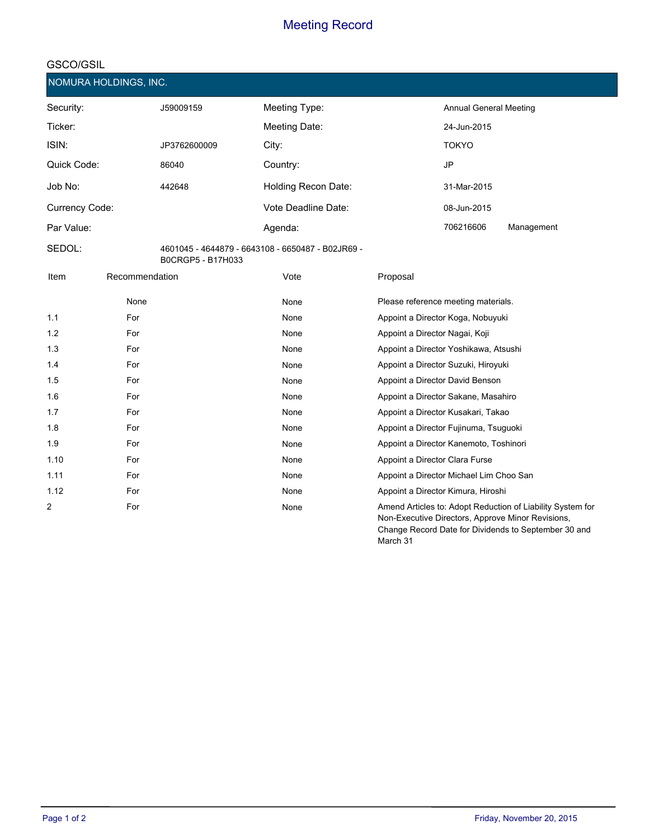|                | NOMURA HOLDINGS, INC. |                   |                                                   |                                                                                                                                                                                     |
|----------------|-----------------------|-------------------|---------------------------------------------------|-------------------------------------------------------------------------------------------------------------------------------------------------------------------------------------|
| Security:      |                       | J59009159         | Meeting Type:                                     | Annual General Meeting                                                                                                                                                              |
| Ticker:        |                       |                   | Meeting Date:                                     | 24-Jun-2015                                                                                                                                                                         |
| ISIN:          |                       | JP3762600009      | City:                                             | <b>TOKYO</b>                                                                                                                                                                        |
| Quick Code:    |                       | 86040             | Country:                                          | <b>JP</b>                                                                                                                                                                           |
| Job No:        |                       | 442648            | Holding Recon Date:                               | 31-Mar-2015                                                                                                                                                                         |
| Currency Code: |                       |                   | Vote Deadline Date:                               | 08-Jun-2015                                                                                                                                                                         |
| Par Value:     |                       |                   | Agenda:                                           | 706216606<br>Management                                                                                                                                                             |
| SEDOL:         |                       | B0CRGP5 - B17H033 | 4601045 - 4644879 - 6643108 - 6650487 - B02JR69 - |                                                                                                                                                                                     |
| Item           | Recommendation        |                   | Vote                                              | Proposal                                                                                                                                                                            |
|                | None                  |                   | None                                              | Please reference meeting materials.                                                                                                                                                 |
| 1.1            | For                   |                   | None                                              | Appoint a Director Koga, Nobuyuki                                                                                                                                                   |
| 1.2            | For                   |                   | None                                              | Appoint a Director Nagai, Koji                                                                                                                                                      |
| 1.3            | For                   |                   | None                                              | Appoint a Director Yoshikawa, Atsushi                                                                                                                                               |
| 1.4            | For                   |                   | None                                              | Appoint a Director Suzuki, Hiroyuki                                                                                                                                                 |
| 1.5            | For                   |                   | None                                              | Appoint a Director David Benson                                                                                                                                                     |
| 1.6            | For                   |                   | None                                              | Appoint a Director Sakane, Masahiro                                                                                                                                                 |
| 1.7            | For                   |                   | None                                              | Appoint a Director Kusakari, Takao                                                                                                                                                  |
| 1.8            | For                   |                   | None                                              | Appoint a Director Fujinuma, Tsuguoki                                                                                                                                               |
| 1.9            | For                   |                   | None                                              | Appoint a Director Kanemoto, Toshinori                                                                                                                                              |
| 1.10           | For                   |                   | None                                              | Appoint a Director Clara Furse                                                                                                                                                      |
| 1.11           | For                   |                   | None                                              | Appoint a Director Michael Lim Choo San                                                                                                                                             |
| 1.12           | For                   |                   | None                                              | Appoint a Director Kimura, Hiroshi                                                                                                                                                  |
| 2              | For                   |                   | None                                              | Amend Articles to: Adopt Reduction of Liability System for<br>Non-Executive Directors, Approve Minor Revisions,<br>Change Record Date for Dividends to September 30 and<br>March 31 |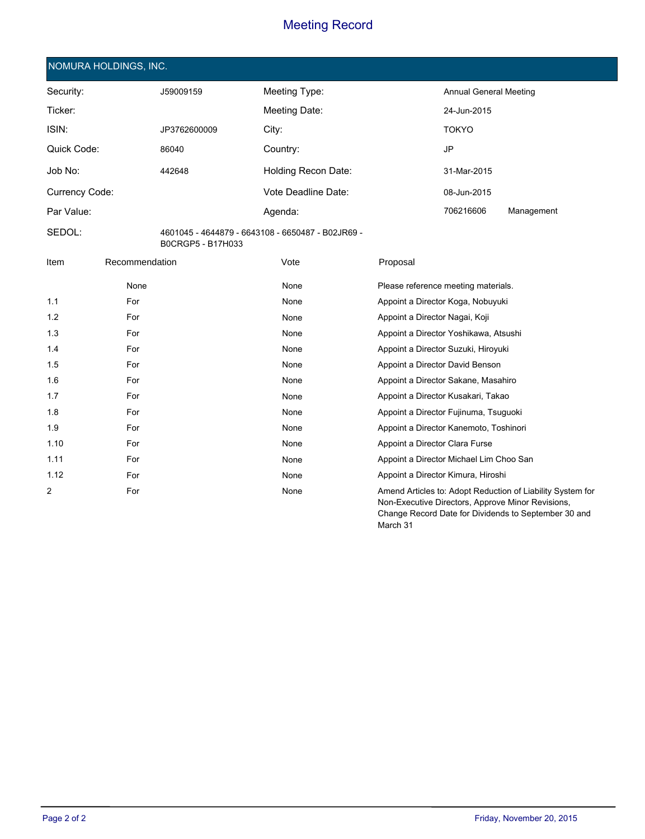| NOMURA HOLDINGS, INC. |  |  |
|-----------------------|--|--|
|                       |  |  |

| Security:      | J59009159    | Meeting Type:              | Annual General Meeting |            |
|----------------|--------------|----------------------------|------------------------|------------|
| Ticker:        |              | Meeting Date:              | 24-Jun-2015            |            |
| ISIN:          | JP3762600009 | City:                      | <b>TOKYO</b>           |            |
| Quick Code:    | 86040        | Country:                   | JP                     |            |
| Job No:        | 442648       | <b>Holding Recon Date:</b> | 31-Mar-2015            |            |
| Currency Code: |              | Vote Deadline Date:        | 08-Jun-2015            |            |
| Par Value:     |              | Agenda:                    | 706216606              | Management |

**SEDOL:** 4601045 - 4644879 - 6643108 - 6650487 - B02JR69 - B0CRGP5 - B17H033

| Item | Recommendation | Vote | Proposal                                                                                                                                                                |
|------|----------------|------|-------------------------------------------------------------------------------------------------------------------------------------------------------------------------|
|      | None           | None | Please reference meeting materials.                                                                                                                                     |
| 1.1  | For            | None | Appoint a Director Koga, Nobuyuki                                                                                                                                       |
| 1.2  | For            | None | Appoint a Director Nagai, Koji                                                                                                                                          |
| 1.3  | For            | None | Appoint a Director Yoshikawa, Atsushi                                                                                                                                   |
| 1.4  | For            | None | Appoint a Director Suzuki, Hiroyuki                                                                                                                                     |
| 1.5  | For            | None | Appoint a Director David Benson                                                                                                                                         |
| 1.6  | For            | None | Appoint a Director Sakane, Masahiro                                                                                                                                     |
| 1.7  | For            | None | Appoint a Director Kusakari, Takao                                                                                                                                      |
| 1.8  | For            | None | Appoint a Director Fujinuma, Tsuguoki                                                                                                                                   |
| 1.9  | For            | None | Appoint a Director Kanemoto, Toshinori                                                                                                                                  |
| 1.10 | For            | None | Appoint a Director Clara Furse                                                                                                                                          |
| 1.11 | For            | None | Appoint a Director Michael Lim Choo San                                                                                                                                 |
| 1.12 | For            | None | Appoint a Director Kimura, Hiroshi                                                                                                                                      |
| 2    | For            | None | Amend Articles to: Adopt Reduction of Liability System for<br>Non-Executive Directors, Approve Minor Revisions,<br>Change Record Date for Dividends to September 30 and |

March 31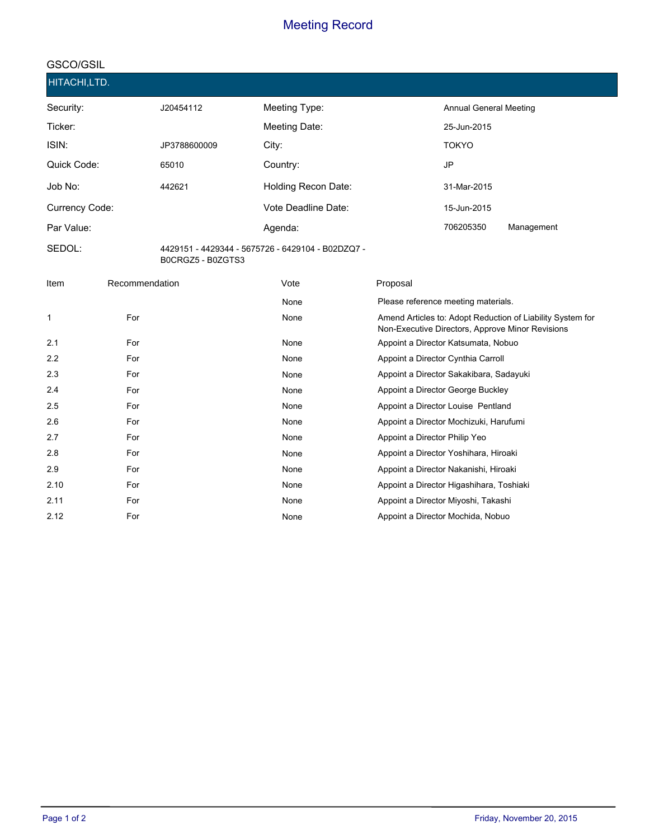# **GSCO/GSIL**

| HITACHI,LTD.   |              |                                                   |                               |
|----------------|--------------|---------------------------------------------------|-------------------------------|
| Security:      | J20454112    | Meeting Type:                                     | <b>Annual General Meeting</b> |
| Ticker:        |              | Meeting Date:                                     | 25-Jun-2015                   |
| ISIN:          | JP3788600009 | City:                                             | <b>TOKYO</b>                  |
| Quick Code:    | 65010        | Country:                                          | JP                            |
| Job No:        | 442621       | Holding Recon Date:                               | 31-Mar-2015                   |
| Currency Code: |              | Vote Deadline Date:                               | 15-Jun-2015                   |
| Par Value:     |              | Agenda:                                           | 706205350<br>Management       |
| SEDOL:         |              | 4429151 - 4429344 - 5675726 - 6429104 - B02DZQ7 - |                               |

B0CRGZ5 - B0ZGTS3

| Item | Recommendation | Vote | Proposal                                                                                                       |
|------|----------------|------|----------------------------------------------------------------------------------------------------------------|
|      |                | None | Please reference meeting materials.                                                                            |
| 1    | For            | None | Amend Articles to: Adopt Reduction of Liability System for<br>Non-Executive Directors, Approve Minor Revisions |
| 2.1  | For            | None | Appoint a Director Katsumata, Nobuo                                                                            |
| 2.2  | For            | None | Appoint a Director Cynthia Carroll                                                                             |
| 2.3  | For            | None | Appoint a Director Sakakibara, Sadayuki                                                                        |
| 2.4  | For            | None | Appoint a Director George Buckley                                                                              |
| 2.5  | For            | None | Appoint a Director Louise Pentland                                                                             |
| 2.6  | For            | None | Appoint a Director Mochizuki, Harufumi                                                                         |
| 2.7  | For            | None | Appoint a Director Philip Yeo                                                                                  |
| 2.8  | For            | None | Appoint a Director Yoshihara, Hiroaki                                                                          |
| 2.9  | For            | None | Appoint a Director Nakanishi, Hiroaki                                                                          |
| 2.10 | For            | None | Appoint a Director Higashihara, Toshiaki                                                                       |
| 2.11 | For            | None | Appoint a Director Miyoshi, Takashi                                                                            |
| 2.12 | For            | None | Appoint a Director Mochida, Nobuo                                                                              |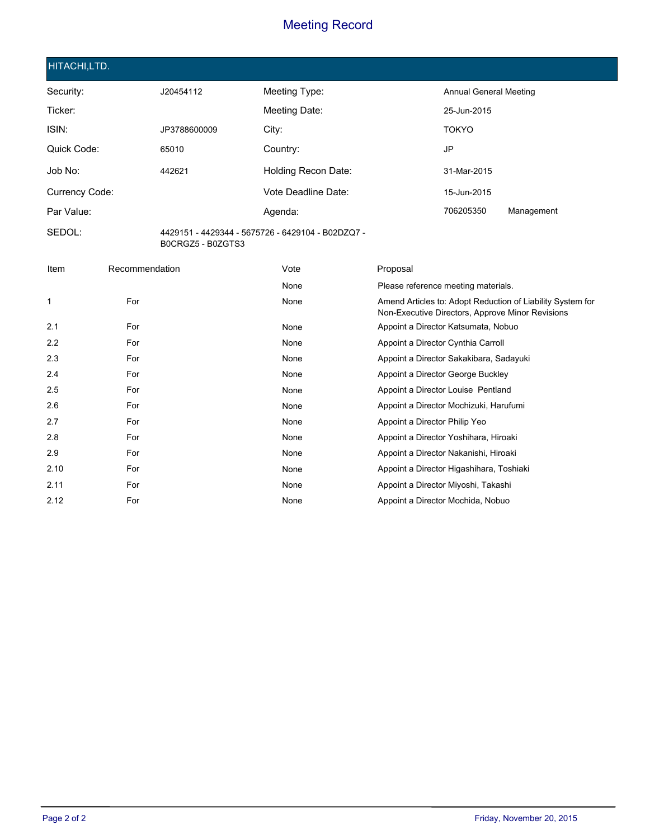#### **HITACHI,LTD.**

**SEDOL:**

| Security:      | J20454112    | Meeting Type:       | Annual General Meeting  |  |
|----------------|--------------|---------------------|-------------------------|--|
| Ticker:        |              | Meeting Date:       | 25-Jun-2015             |  |
| ISIN:          | JP3788600009 | City:               | <b>TOKYO</b>            |  |
| Quick Code:    | 65010        | Country:            | JP                      |  |
| Job No:        | 442621       | Holding Recon Date: | 31-Mar-2015             |  |
| Currency Code: |              | Vote Deadline Date: | 15-Jun-2015             |  |
| Par Value:     |              | Agenda:             | 706205350<br>Management |  |
|                |              |                     |                         |  |

4429151 - 4429344 - 5675726 - 6429104 - B02DZQ7 - B0CRGZ5 - B0ZGTS3

| Item | Recommendation | Vote | Proposal                                                                                                       |
|------|----------------|------|----------------------------------------------------------------------------------------------------------------|
|      |                | None | Please reference meeting materials.                                                                            |
| 1    | For            | None | Amend Articles to: Adopt Reduction of Liability System for<br>Non-Executive Directors, Approve Minor Revisions |
| 2.1  | For            | None | Appoint a Director Katsumata, Nobuo                                                                            |
| 2.2  | For            | None | Appoint a Director Cynthia Carroll                                                                             |
| 2.3  | For            | None | Appoint a Director Sakakibara, Sadayuki                                                                        |
| 2.4  | For            | None | Appoint a Director George Buckley                                                                              |
| 2.5  | For            | None | Appoint a Director Louise Pentland                                                                             |
| 2.6  | For            | None | Appoint a Director Mochizuki, Harufumi                                                                         |
| 2.7  | For            | None | Appoint a Director Philip Yeo                                                                                  |
| 2.8  | For            | None | Appoint a Director Yoshihara, Hiroaki                                                                          |
| 2.9  | For            | None | Appoint a Director Nakanishi, Hiroaki                                                                          |
| 2.10 | For            | None | Appoint a Director Higashihara, Toshiaki                                                                       |
| 2.11 | For            | None | Appoint a Director Miyoshi, Takashi                                                                            |
| 2.12 | For            | None | Appoint a Director Mochida, Nobuo                                                                              |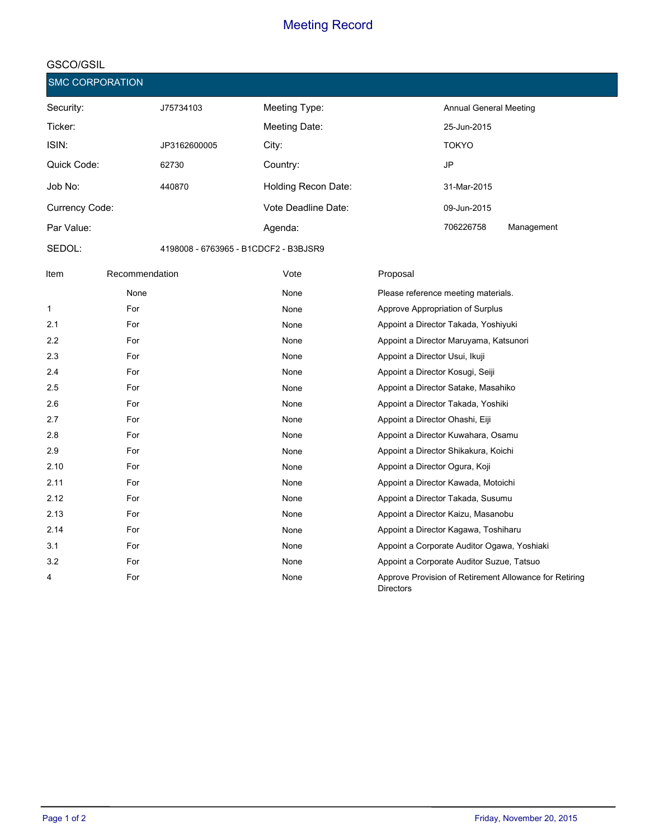#### **GSCO/GSIL**

**SMC CORPORATION**

| Security:      | J75734103                             | Meeting Type:       | Annual General Meeting |            |
|----------------|---------------------------------------|---------------------|------------------------|------------|
| Ticker:        |                                       | Meeting Date:       | 25-Jun-2015            |            |
| ISIN:          | JP3162600005                          | City:               | <b>TOKYO</b>           |            |
| Quick Code:    | 62730                                 | Country:            | JP                     |            |
| Job No:        | 440870                                | Holding Recon Date: | 31-Mar-2015            |            |
| Currency Code: |                                       | Vote Deadline Date: | 09-Jun-2015            |            |
| Par Value:     |                                       | Agenda:             | 706226758              | Management |
| SEDOL:         | 4198008 - 6763965 - B1CDCF2 - B3BJSR9 |                     |                        |            |

**Item** Recommendation **Default Vote** Proposal None None Please reference meeting materials. 1 **For Research Approve Appropriation of Surplus** None **Approve Appropriation of Surplus** 2.1 **For Research Appoint a Director Takada, Yoshiyuki** None **Appoint a Director Takada, Yoshiyuki** 2.2 **For** For **None** Appoint a Director Maruyama, Katsunori **Forma** 2.3 **For Research Appoint a Director Usui, Ikuji** 2.3 **For Appoint a Director Usui, Ikuji** 2.3 **For Appoint a Director Usui, Ikuji** 2. 2.4 **For** For **None Research Appoint a Director Kosugi, Seiji** 2.4 2.5 **For** For **For Appoint a Director Satake, Masahiko** Appoint a Director Satake, Masahiko 2.6 **For Research Appoint a Director Takada, Yoshiki** 2.6 **For Appoint a Director Takada, Yoshiki** 2.7 **For For None Appoint a Director Ohashi, Eiji** None Appoint a Director Ohashi, Eiji 2.8 **For** For **For Appoint a Director Kuwahara**, Osamu Cassette Appoint a Director Kuwahara, Osamu 2.9 **For** For **None Research Appoint a Director Shikakura, Koichi Propint a Director Shikakura, Koichi** 2.10 **For** For **None Research Appoint a Director Ogura, Koji** Appoint a Director Ogura, Koji 2.11 **For** For **None Research Appoint a Director Kawada, Motoichi** 2.12 **For** For **None Research Appoint a Director Takada, Susumu** 2.13 **For** For **None Research Appoint a Director Kaizu, Masanobu** 2.14 **For** For **For Research Appoint a Director Kagawa**, Toshiharu 3.1 **For For Appoint a Corporate Auditor Ogawa**, Yoshiaki a Corporate Auditor Ogawa, Yoshiaki 3.2 **For** For **For Appoint a Corporate Auditor Suzue**, Tatsuo 4 **Approve Provision of Retirement Allowance for Retiring Approve Provision of Retirement Allowance for Retiring Directors** None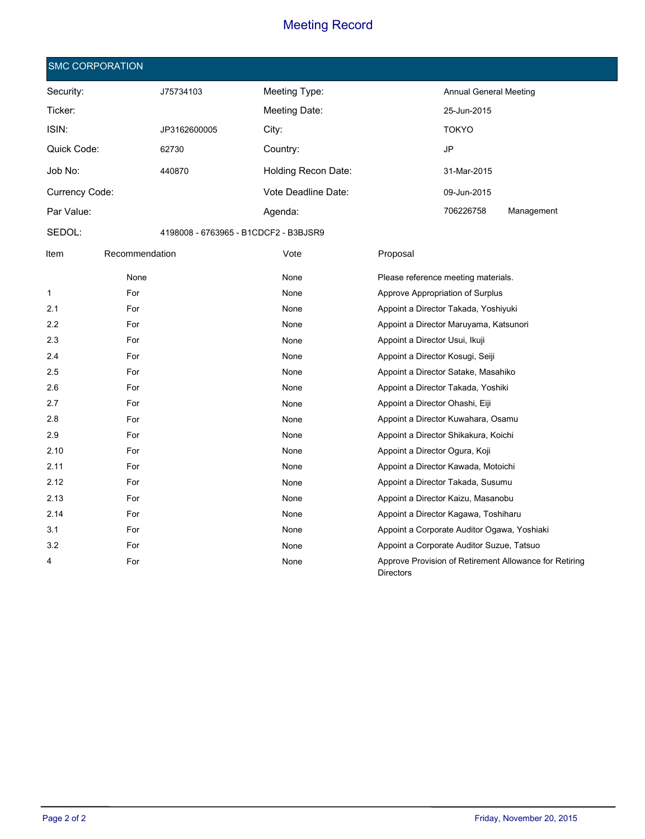|                | <b>SMC CORPORATION</b> |              |                                       |                                                                            |
|----------------|------------------------|--------------|---------------------------------------|----------------------------------------------------------------------------|
| Security:      |                        | J75734103    | Meeting Type:                         | <b>Annual General Meeting</b>                                              |
| Ticker:        |                        |              | Meeting Date:                         | 25-Jun-2015                                                                |
| ISIN:          |                        | JP3162600005 | City:                                 | <b>TOKYO</b>                                                               |
| Quick Code:    |                        | 62730        | Country:                              | JP                                                                         |
| Job No:        |                        | 440870       | Holding Recon Date:                   | 31-Mar-2015                                                                |
|                |                        |              |                                       |                                                                            |
| Currency Code: |                        |              | Vote Deadline Date:                   | 09-Jun-2015                                                                |
| Par Value:     |                        |              | Agenda:                               | 706226758<br>Management                                                    |
| SEDOL:         |                        |              | 4198008 - 6763965 - B1CDCF2 - B3BJSR9 |                                                                            |
| Item           | Recommendation         |              | Vote                                  | Proposal                                                                   |
|                | None                   |              | None                                  | Please reference meeting materials.                                        |
| $\mathbf 1$    | For                    |              | None                                  | Approve Appropriation of Surplus                                           |
| 2.1            | For                    |              | None                                  | Appoint a Director Takada, Yoshiyuki                                       |
| 2.2            | For                    |              | None                                  | Appoint a Director Maruyama, Katsunori                                     |
| 2.3            | For                    |              | None                                  | Appoint a Director Usui, Ikuji                                             |
| 2.4            | For                    |              | None                                  | Appoint a Director Kosugi, Seiji                                           |
| 2.5            | For                    |              | None                                  | Appoint a Director Satake, Masahiko                                        |
| 2.6            | For                    |              | None                                  | Appoint a Director Takada, Yoshiki                                         |
| 2.7            | For                    |              | None                                  | Appoint a Director Ohashi, Eiji                                            |
| 2.8            | For                    |              | None                                  | Appoint a Director Kuwahara, Osamu                                         |
| 2.9            | For                    |              | None                                  | Appoint a Director Shikakura, Koichi                                       |
| 2.10           | For                    |              | None                                  | Appoint a Director Ogura, Koji                                             |
| 2.11           | For                    |              | None                                  | Appoint a Director Kawada, Motoichi                                        |
| 2.12           | For                    |              | None                                  | Appoint a Director Takada, Susumu                                          |
| 2.13           | For                    |              | None                                  | Appoint a Director Kaizu, Masanobu                                         |
| 2.14           | For                    |              | None                                  | Appoint a Director Kagawa, Toshiharu                                       |
| 3.1            | For                    |              | None                                  | Appoint a Corporate Auditor Ogawa, Yoshiaki                                |
| 3.2            | For                    |              | None                                  | Appoint a Corporate Auditor Suzue, Tatsuo                                  |
| 4              | For                    |              | None                                  | Approve Provision of Retirement Allowance for Retiring<br><b>Directors</b> |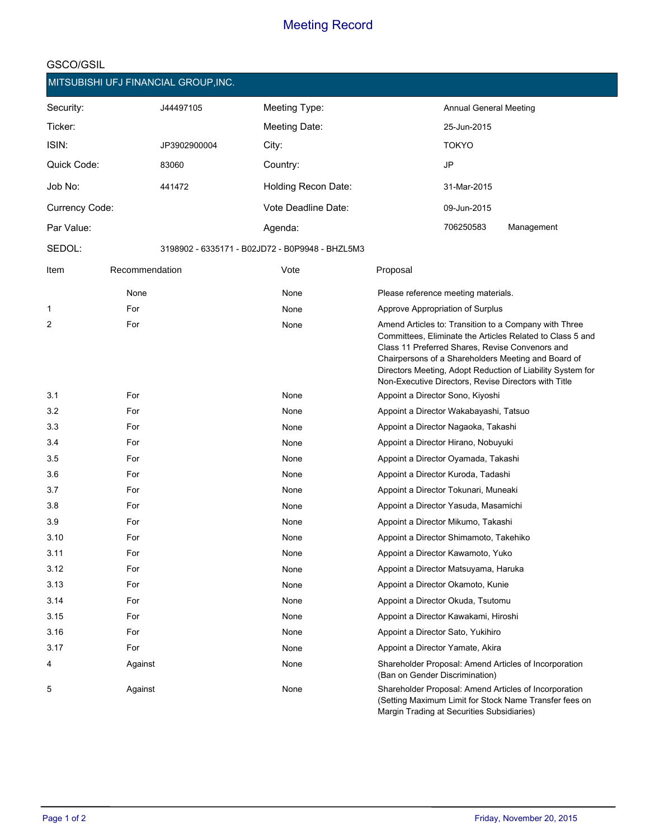| MITSUBISHI UFJ FINANCIAL GROUP, INC. |                |              |                                                 |                                |                                            |                                                                                                                                                                                                                                                                                                                                                    |  |
|--------------------------------------|----------------|--------------|-------------------------------------------------|--------------------------------|--------------------------------------------|----------------------------------------------------------------------------------------------------------------------------------------------------------------------------------------------------------------------------------------------------------------------------------------------------------------------------------------------------|--|
| Security:                            |                | J44497105    | Meeting Type:                                   |                                | <b>Annual General Meeting</b>              |                                                                                                                                                                                                                                                                                                                                                    |  |
| Ticker:                              |                |              | Meeting Date:                                   |                                | 25-Jun-2015                                |                                                                                                                                                                                                                                                                                                                                                    |  |
| ISIN:                                |                | JP3902900004 | City:                                           |                                | <b>TOKYO</b>                               |                                                                                                                                                                                                                                                                                                                                                    |  |
| Quick Code:                          |                | 83060        | Country:                                        |                                | <b>JP</b>                                  |                                                                                                                                                                                                                                                                                                                                                    |  |
| Job No:                              |                | 441472       | Holding Recon Date:                             |                                | 31-Mar-2015                                |                                                                                                                                                                                                                                                                                                                                                    |  |
| Currency Code:                       |                |              | Vote Deadline Date:                             |                                | 09-Jun-2015                                |                                                                                                                                                                                                                                                                                                                                                    |  |
| Par Value:                           |                |              | Agenda:                                         |                                | 706250583                                  | Management                                                                                                                                                                                                                                                                                                                                         |  |
| SEDOL:                               |                |              | 3198902 - 6335171 - B02JD72 - B0P9948 - BHZL5M3 |                                |                                            |                                                                                                                                                                                                                                                                                                                                                    |  |
| Item                                 | Recommendation |              | Vote                                            | Proposal                       |                                            |                                                                                                                                                                                                                                                                                                                                                    |  |
|                                      | None           |              | None                                            |                                | Please reference meeting materials.        |                                                                                                                                                                                                                                                                                                                                                    |  |
| 1                                    | For            |              | None                                            |                                | Approve Appropriation of Surplus           |                                                                                                                                                                                                                                                                                                                                                    |  |
| 2                                    | For            |              | None                                            |                                |                                            | Amend Articles to: Transition to a Company with Three<br>Committees, Eliminate the Articles Related to Class 5 and<br>Class 11 Preferred Shares, Revise Convenors and<br>Chairpersons of a Shareholders Meeting and Board of<br>Directors Meeting, Adopt Reduction of Liability System for<br>Non-Executive Directors, Revise Directors with Title |  |
| 3.1                                  | For            |              | None                                            |                                | Appoint a Director Sono, Kiyoshi           |                                                                                                                                                                                                                                                                                                                                                    |  |
| 3.2                                  | For            |              | None                                            |                                | Appoint a Director Wakabayashi, Tatsuo     |                                                                                                                                                                                                                                                                                                                                                    |  |
| 3.3                                  | For            |              | None                                            |                                | Appoint a Director Nagaoka, Takashi        |                                                                                                                                                                                                                                                                                                                                                    |  |
| 3.4                                  | For            |              | None                                            |                                | Appoint a Director Hirano, Nobuyuki        |                                                                                                                                                                                                                                                                                                                                                    |  |
| 3.5                                  | For            |              | None                                            |                                | Appoint a Director Oyamada, Takashi        |                                                                                                                                                                                                                                                                                                                                                    |  |
| 3.6                                  | For            |              | None                                            |                                | Appoint a Director Kuroda, Tadashi         |                                                                                                                                                                                                                                                                                                                                                    |  |
| 3.7                                  | For            |              | None                                            |                                | Appoint a Director Tokunari, Muneaki       |                                                                                                                                                                                                                                                                                                                                                    |  |
| 3.8                                  | For            |              | None                                            |                                | Appoint a Director Yasuda, Masamichi       |                                                                                                                                                                                                                                                                                                                                                    |  |
| 3.9                                  | For            |              | None                                            |                                | Appoint a Director Mikumo, Takashi         |                                                                                                                                                                                                                                                                                                                                                    |  |
| 3.10                                 | For            |              | None                                            |                                | Appoint a Director Shimamoto, Takehiko     |                                                                                                                                                                                                                                                                                                                                                    |  |
| 3.11                                 | For            |              | None                                            |                                | Appoint a Director Kawamoto, Yuko          |                                                                                                                                                                                                                                                                                                                                                    |  |
| 3.12                                 | For            |              | None                                            |                                | Appoint a Director Matsuyama, Haruka       |                                                                                                                                                                                                                                                                                                                                                    |  |
| 3.13                                 | For            |              | None                                            |                                | Appoint a Director Okamoto, Kunie          |                                                                                                                                                                                                                                                                                                                                                    |  |
| 3.14                                 | For            |              | None                                            |                                | Appoint a Director Okuda, Tsutomu          |                                                                                                                                                                                                                                                                                                                                                    |  |
| 3.15                                 | For            |              | None                                            |                                | Appoint a Director Kawakami, Hiroshi       |                                                                                                                                                                                                                                                                                                                                                    |  |
| 3.16                                 | For            |              | None                                            |                                | Appoint a Director Sato, Yukihiro          |                                                                                                                                                                                                                                                                                                                                                    |  |
| 3.17                                 | For            |              | None                                            |                                | Appoint a Director Yamate, Akira           |                                                                                                                                                                                                                                                                                                                                                    |  |
| 4                                    | Against        |              | None                                            | (Ban on Gender Discrimination) |                                            | Shareholder Proposal: Amend Articles of Incorporation                                                                                                                                                                                                                                                                                              |  |
| 5                                    | Against        |              | None                                            |                                | Margin Trading at Securities Subsidiaries) | Shareholder Proposal: Amend Articles of Incorporation<br>(Setting Maximum Limit for Stock Name Transfer fees on                                                                                                                                                                                                                                    |  |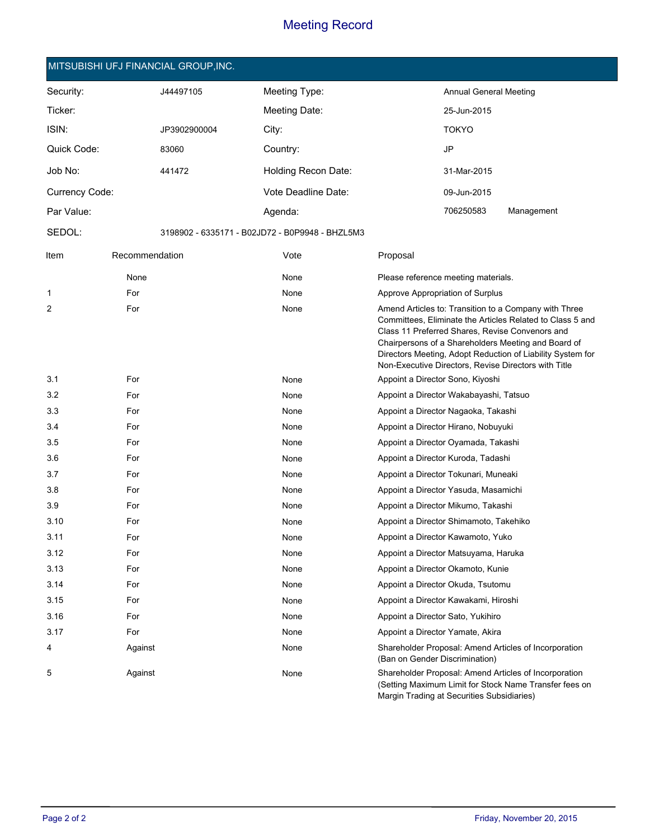#### **MITSUBISHI UFJ FINANCIAL GROUP,INC.**

| Security:      |                | J44497105    | Meeting Type:                                   |                                  | <b>Annual General Meeting</b>              |                                                                                                                                                                                                                                                                                                                                                    |
|----------------|----------------|--------------|-------------------------------------------------|----------------------------------|--------------------------------------------|----------------------------------------------------------------------------------------------------------------------------------------------------------------------------------------------------------------------------------------------------------------------------------------------------------------------------------------------------|
| Ticker:        |                |              | Meeting Date:                                   |                                  | 25-Jun-2015                                |                                                                                                                                                                                                                                                                                                                                                    |
| ISIN:          |                | JP3902900004 | City:                                           |                                  | <b>TOKYO</b>                               |                                                                                                                                                                                                                                                                                                                                                    |
| Quick Code:    |                | 83060        | Country:                                        |                                  | <b>JP</b>                                  |                                                                                                                                                                                                                                                                                                                                                    |
| Job No:        |                | 441472       | Holding Recon Date:                             |                                  | 31-Mar-2015                                |                                                                                                                                                                                                                                                                                                                                                    |
| Currency Code: |                |              | Vote Deadline Date:                             |                                  | 09-Jun-2015                                |                                                                                                                                                                                                                                                                                                                                                    |
| Par Value:     |                |              | Agenda:                                         |                                  | 706250583                                  | Management                                                                                                                                                                                                                                                                                                                                         |
| SEDOL:         |                |              | 3198902 - 6335171 - B02JD72 - B0P9948 - BHZL5M3 |                                  |                                            |                                                                                                                                                                                                                                                                                                                                                    |
| Item           | Recommendation |              | Vote                                            | Proposal                         |                                            |                                                                                                                                                                                                                                                                                                                                                    |
|                | None           |              | None                                            |                                  | Please reference meeting materials.        |                                                                                                                                                                                                                                                                                                                                                    |
| 1              | For            |              | None                                            |                                  | Approve Appropriation of Surplus           |                                                                                                                                                                                                                                                                                                                                                    |
| 2              | For            |              | None                                            |                                  |                                            | Amend Articles to: Transition to a Company with Three<br>Committees, Eliminate the Articles Related to Class 5 and<br>Class 11 Preferred Shares, Revise Convenors and<br>Chairpersons of a Shareholders Meeting and Board of<br>Directors Meeting, Adopt Reduction of Liability System for<br>Non-Executive Directors, Revise Directors with Title |
| 3.1            | For            |              | None                                            | Appoint a Director Sono, Kiyoshi |                                            |                                                                                                                                                                                                                                                                                                                                                    |
| 3.2            | For            |              | None                                            |                                  | Appoint a Director Wakabayashi, Tatsuo     |                                                                                                                                                                                                                                                                                                                                                    |
| 3.3            | For            |              | None                                            |                                  | Appoint a Director Nagaoka, Takashi        |                                                                                                                                                                                                                                                                                                                                                    |
| 3.4            | For            |              | None                                            |                                  | Appoint a Director Hirano, Nobuyuki        |                                                                                                                                                                                                                                                                                                                                                    |
| 3.5            | For            |              | None                                            |                                  | Appoint a Director Oyamada, Takashi        |                                                                                                                                                                                                                                                                                                                                                    |
| 3.6            | For            |              | None                                            |                                  | Appoint a Director Kuroda, Tadashi         |                                                                                                                                                                                                                                                                                                                                                    |
| 3.7            | For            |              | None                                            |                                  | Appoint a Director Tokunari, Muneaki       |                                                                                                                                                                                                                                                                                                                                                    |
| 3.8            | For            |              | None                                            |                                  | Appoint a Director Yasuda, Masamichi       |                                                                                                                                                                                                                                                                                                                                                    |
| 3.9            | For            |              | None                                            |                                  | Appoint a Director Mikumo, Takashi         |                                                                                                                                                                                                                                                                                                                                                    |
| 3.10           | For            |              | None                                            |                                  | Appoint a Director Shimamoto, Takehiko     |                                                                                                                                                                                                                                                                                                                                                    |
| 3.11           | For            |              | None                                            |                                  | Appoint a Director Kawamoto, Yuko          |                                                                                                                                                                                                                                                                                                                                                    |
| 3.12           | For            |              | None                                            |                                  | Appoint a Director Matsuyama, Haruka       |                                                                                                                                                                                                                                                                                                                                                    |
| 3.13           | For            |              | None                                            |                                  | Appoint a Director Okamoto, Kunie          |                                                                                                                                                                                                                                                                                                                                                    |
| 3.14           | For            |              | None                                            |                                  | Appoint a Director Okuda, Tsutomu          |                                                                                                                                                                                                                                                                                                                                                    |
| 3.15           | For            |              | None                                            |                                  | Appoint a Director Kawakami, Hiroshi       |                                                                                                                                                                                                                                                                                                                                                    |
| 3.16           | For            |              | None                                            |                                  | Appoint a Director Sato, Yukihiro          |                                                                                                                                                                                                                                                                                                                                                    |
| 3.17           | For            |              | None                                            |                                  | Appoint a Director Yamate, Akira           |                                                                                                                                                                                                                                                                                                                                                    |
| 4              | Against        |              | None                                            | (Ban on Gender Discrimination)   |                                            | Shareholder Proposal: Amend Articles of Incorporation                                                                                                                                                                                                                                                                                              |
| 5              | Against        |              | None                                            |                                  | Margin Trading at Securities Subsidiaries) | Shareholder Proposal: Amend Articles of Incorporation<br>(Setting Maximum Limit for Stock Name Transfer fees on                                                                                                                                                                                                                                    |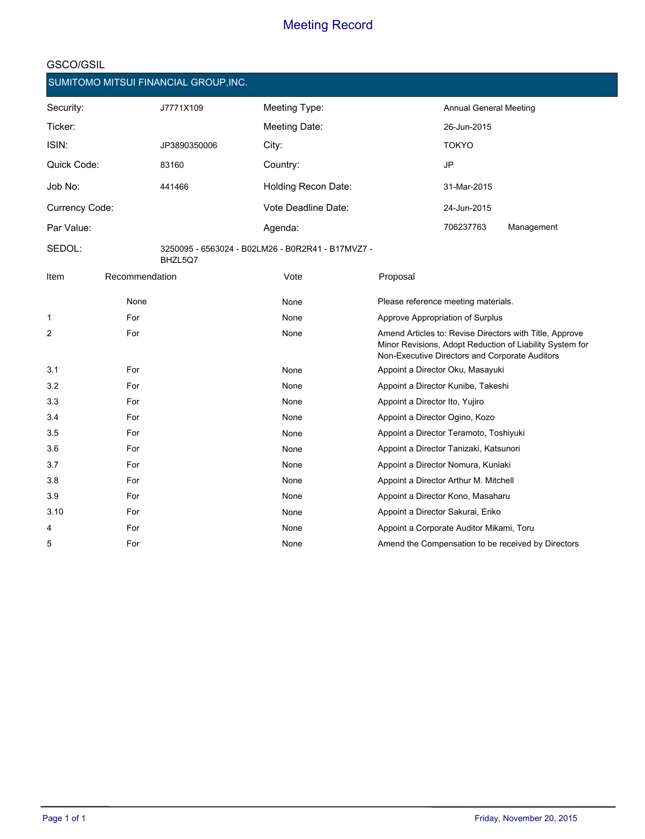|                |                | SUMITOMO MITSUI FINANCIAL GROUP, INC. |                                                   |                                |                                                |                                                                                                                     |
|----------------|----------------|---------------------------------------|---------------------------------------------------|--------------------------------|------------------------------------------------|---------------------------------------------------------------------------------------------------------------------|
| Security:      |                | J7771X109                             | Meeting Type:                                     |                                | <b>Annual General Meeting</b>                  |                                                                                                                     |
| Ticker:        |                |                                       | Meeting Date:                                     |                                | 26-Jun-2015                                    |                                                                                                                     |
| ISIN:          |                | JP3890350006                          | City:                                             |                                | <b>TOKYO</b>                                   |                                                                                                                     |
| Quick Code:    |                | 83160                                 | Country:                                          |                                | JP                                             |                                                                                                                     |
| Job No:        |                | 441466                                | Holding Recon Date:                               |                                | 31-Mar-2015                                    |                                                                                                                     |
| Currency Code: |                |                                       | Vote Deadline Date:                               |                                | 24-Jun-2015                                    |                                                                                                                     |
| Par Value:     |                |                                       | Agenda:                                           |                                | 706237763                                      | Management                                                                                                          |
| SEDOL:         |                | BHZL5Q7                               | 3250095 - 6563024 - B02LM26 - B0R2R41 - B17MVZ7 - |                                |                                                |                                                                                                                     |
| Item           | Recommendation |                                       | Vote                                              | Proposal                       |                                                |                                                                                                                     |
|                | None           |                                       | None                                              |                                | Please reference meeting materials.            |                                                                                                                     |
| 1              | For            |                                       | None                                              |                                | Approve Appropriation of Surplus               |                                                                                                                     |
| 2              | For            |                                       | None                                              |                                | Non-Executive Directors and Corporate Auditors | Amend Articles to: Revise Directors with Title, Approve<br>Minor Revisions, Adopt Reduction of Liability System for |
| 3.1            | For            |                                       | None                                              |                                | Appoint a Director Oku, Masayuki               |                                                                                                                     |
| 3.2            | For            |                                       | None                                              |                                | Appoint a Director Kunibe, Takeshi             |                                                                                                                     |
| 3.3            | For            |                                       | None                                              | Appoint a Director Ito, Yujiro |                                                |                                                                                                                     |
| 3.4            | For            |                                       | None                                              |                                | Appoint a Director Ogino, Kozo                 |                                                                                                                     |
| 3.5            | For            |                                       | None                                              |                                | Appoint a Director Teramoto, Toshiyuki         |                                                                                                                     |
| 3.6            | For            |                                       | None                                              |                                | Appoint a Director Tanizaki, Katsunori         |                                                                                                                     |
| 3.7            | For            |                                       | None                                              |                                | Appoint a Director Nomura, Kuniaki             |                                                                                                                     |
| 3.8            | For            |                                       | None                                              |                                | Appoint a Director Arthur M. Mitchell          |                                                                                                                     |
| 3.9            | For            |                                       | None                                              |                                | Appoint a Director Kono, Masaharu              |                                                                                                                     |
| 3.10           | For            |                                       | None                                              |                                | Appoint a Director Sakurai, Eriko              |                                                                                                                     |
| 4              | For            |                                       | None                                              |                                | Appoint a Corporate Auditor Mikami, Toru       |                                                                                                                     |
| 5              | For            |                                       | None                                              |                                |                                                | Amend the Compensation to be received by Directors                                                                  |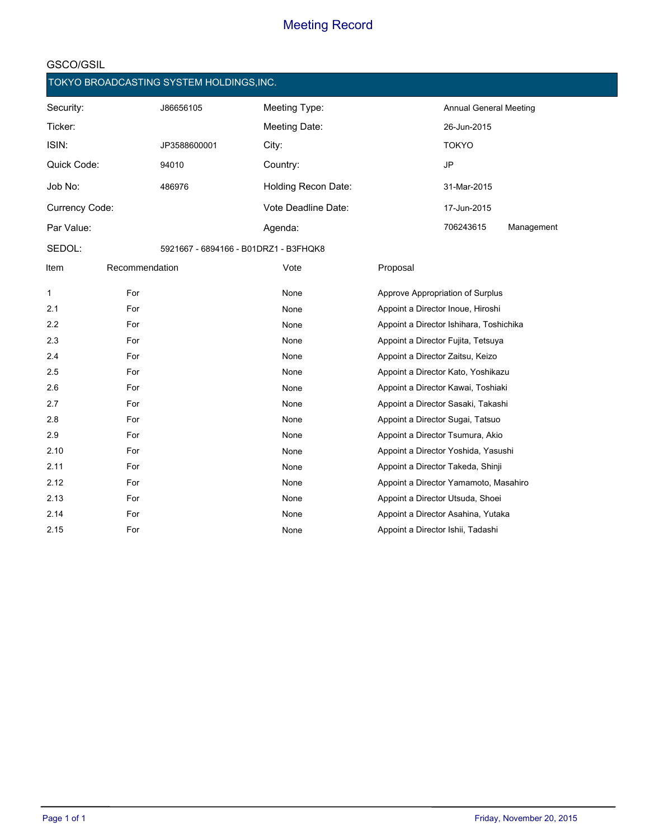|                |                | TOKYO BROADCASTING SYSTEM HOLDINGS, INC. |                                       |          |                                         |            |
|----------------|----------------|------------------------------------------|---------------------------------------|----------|-----------------------------------------|------------|
| Security:      |                | J86656105                                | Meeting Type:                         |          | <b>Annual General Meeting</b>           |            |
| Ticker:        |                |                                          | Meeting Date:                         |          | 26-Jun-2015                             |            |
| ISIN:          |                | JP3588600001                             | City:                                 |          | <b>TOKYO</b>                            |            |
| Quick Code:    |                | 94010                                    | Country:                              |          | <b>JP</b>                               |            |
| Job No:        |                | 486976                                   | Holding Recon Date:                   |          | 31-Mar-2015                             |            |
| Currency Code: |                |                                          | Vote Deadline Date:                   |          | 17-Jun-2015                             |            |
| Par Value:     |                |                                          | Agenda:                               |          | 706243615                               | Management |
| SEDOL:         |                |                                          | 5921667 - 6894166 - B01DRZ1 - B3FHQK8 |          |                                         |            |
| Item           | Recommendation |                                          | Vote                                  | Proposal |                                         |            |
| 1              | For            |                                          | None                                  |          | Approve Appropriation of Surplus        |            |
| 2.1            | For            |                                          | None                                  |          | Appoint a Director Inoue, Hiroshi       |            |
| 2.2            | For            |                                          | None                                  |          | Appoint a Director Ishihara, Toshichika |            |
| 2.3            | For            |                                          | None                                  |          | Appoint a Director Fujita, Tetsuya      |            |
| 2.4            | For            |                                          | None                                  |          | Appoint a Director Zaitsu, Keizo        |            |
| 2.5            | For            |                                          | None                                  |          | Appoint a Director Kato, Yoshikazu      |            |
| 2.6            | For            |                                          | None                                  |          | Appoint a Director Kawai, Toshiaki      |            |
| 2.7            | For            |                                          | None                                  |          | Appoint a Director Sasaki, Takashi      |            |
| 2.8            | For            |                                          | None                                  |          | Appoint a Director Sugai, Tatsuo        |            |
| 2.9            | For            |                                          | None                                  |          | Appoint a Director Tsumura, Akio        |            |
| 2.10           | For            |                                          | None                                  |          | Appoint a Director Yoshida, Yasushi     |            |
| 2.11           | For            |                                          | None                                  |          | Appoint a Director Takeda, Shinji       |            |
| 2.12           | For            |                                          | None                                  |          | Appoint a Director Yamamoto, Masahiro   |            |
| 2.13           | For            |                                          | None                                  |          | Appoint a Director Utsuda, Shoei        |            |
| 2.14           | For            |                                          | None                                  |          | Appoint a Director Asahina, Yutaka      |            |
| 2.15           | For            |                                          | None                                  |          | Appoint a Director Ishii, Tadashi       |            |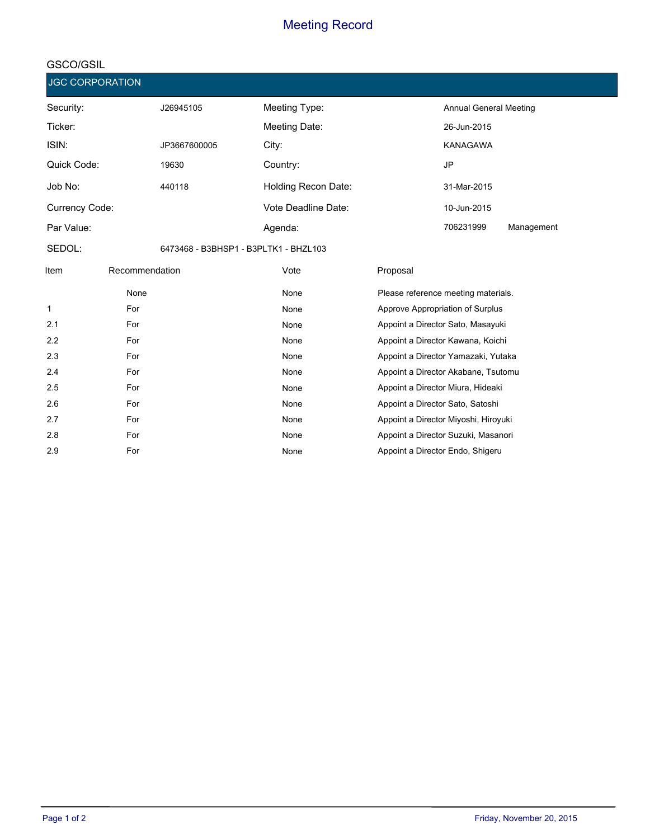#### **GSCO/GSIL**

**Security: Ticker: ISIN: Quick Code: Job No: Currency Code: Par Value: SEDOL:** J26945105 JP3667600005 19630 440118 6473468 - B3BHSP1 - B3PLTK1 - BHZL103 **Meeting Type: Meeting Date: City: Country: Holding Recon Date: Vote Deadline Date: Agenda:** Annual General Meeting KANAGAWA JP 706231999 Management 26-Jun-2015 31-Mar-2015 10-Jun-2015 **JGC CORPORATION Item Recommendation Default Vote Proposal** None None None Please reference meeting materials. 1 **For Research Approve Appropriation of Surplus** None Approve Appropriation of Surplus 2.1 **For** For **For Appoint a Director Sato, Masayuki** Appoint a Director Sato, Masayuki 2.2 **For** For **None** Appoint a Director Kawana, Koichi 2.3 **For** For **None** Appoint a Director Yamazaki, Yutaka 2.4 **For** For **For Research Appoint a Director Akabane, Tsutomu and Appoint a Director Akabane, Tsutomu a Director Akabane, Tsutomu a Director Akabane, Tsutomu and Appoint a Director Akabane, Tsutomu and Appoint a Direct** 2.5 **For** For **For Appoint a Director Miura, Hideaki** and Appoint a Director Miura, Hideaki 2.6 **For** For **For Appoint a Director Sato, Satoshi** a Director Sato, Satoshi a Director Sato, Satoshi 2.7 **For Research Appoint a Director Miyoshi, Hiroyuki** None Appoint a Director Miyoshi, Hiroyuki 2.8 **For Research Appoint a Director Suzuki, Masanori** 2.8 **None** Appoint a Director Suzuki, Masanori 2.9 **For** For **None Research Appoint a Director Endo, Shigeru** 2.9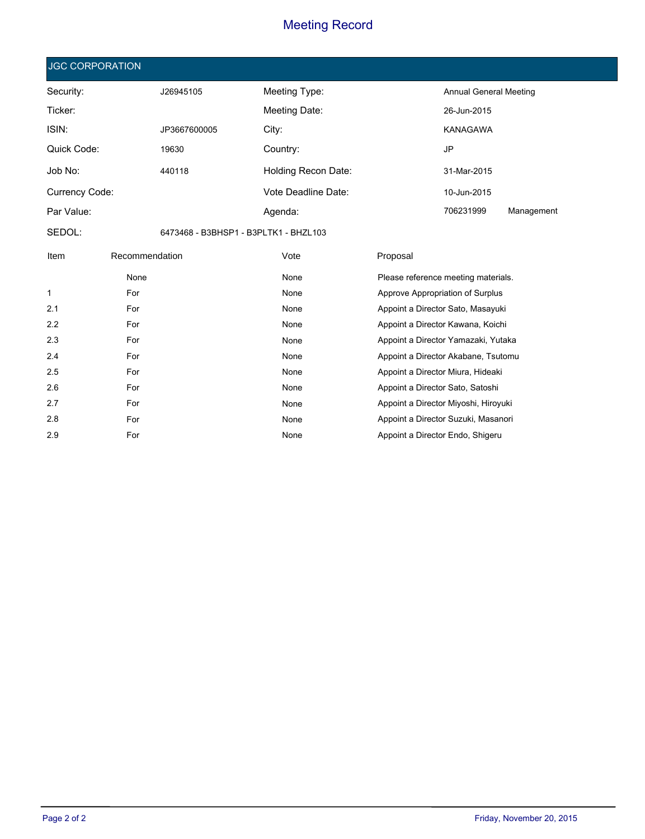|                                                 | <b>JGC CORPORATION</b> |                     |               |             |                                      |                               |  |
|-------------------------------------------------|------------------------|---------------------|---------------|-------------|--------------------------------------|-------------------------------|--|
| Security:                                       |                        | J26945105           | Meeting Type: |             |                                      | <b>Annual General Meeting</b> |  |
| Ticker:                                         |                        |                     | Meeting Date: |             | 26-Jun-2015                          |                               |  |
| ISIN:                                           |                        | JP3667600005        | City:         |             | <b>KANAGAWA</b>                      |                               |  |
| Quick Code:<br>19630                            |                        |                     | Country:      |             | <b>JP</b>                            |                               |  |
| Job No:<br>440118                               |                        | Holding Recon Date: |               | 31-Mar-2015 |                                      |                               |  |
| Currency Code:                                  |                        | Vote Deadline Date: |               | 10-Jun-2015 |                                      |                               |  |
| Par Value:                                      |                        | Agenda:             |               |             | Management                           |                               |  |
| SEDOL:<br>6473468 - B3BHSP1 - B3PLTK1 - BHZL103 |                        |                     |               |             |                                      |                               |  |
| Item                                            | Recommendation         |                     | Vote          | Proposal    |                                      |                               |  |
|                                                 | None                   |                     | None          |             | Please reference meeting materials.  |                               |  |
| 1                                               | For                    |                     | None          |             | Approve Appropriation of Surplus     |                               |  |
| 2.1                                             | For                    |                     | None          |             | Appoint a Director Sato, Masayuki    |                               |  |
| 2.2                                             | For                    |                     | None          |             | Appoint a Director Kawana, Koichi    |                               |  |
| 2.3                                             | For                    |                     | None          |             | Appoint a Director Yamazaki, Yutaka  |                               |  |
| 2.4                                             | For                    |                     | None          |             | Appoint a Director Akabane, Tsutomu  |                               |  |
| 2.5                                             | For                    |                     | None          |             | Appoint a Director Miura, Hideaki    |                               |  |
| 2.6                                             | For                    |                     | None          |             | Appoint a Director Sato, Satoshi     |                               |  |
| 2.7                                             | For                    |                     | None          |             | Appoint a Director Miyoshi, Hiroyuki |                               |  |
| 2.8                                             | For                    |                     | None          |             | Appoint a Director Suzuki, Masanori  |                               |  |

2.9 **For** For **None** None Appoint a Director Endo, Shigeru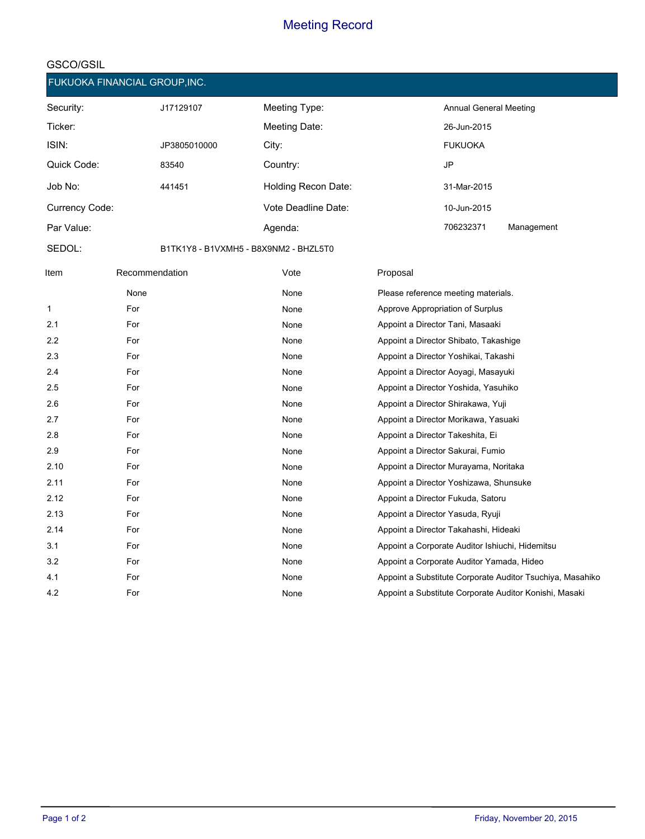#### **GSCO/GSIL**

**SEDOL:**

**FUKUOKA FINANCIAL GROUP,INC.**

| Security:      | J17129107    | Meeting Type:       | <b>Annual General Meeting</b> |            |
|----------------|--------------|---------------------|-------------------------------|------------|
| Ticker:        |              | Meeting Date:       | 26-Jun-2015                   |            |
| ISIN:          | JP3805010000 | City:               | <b>FUKUOKA</b>                |            |
| Quick Code:    | 83540        | Country:            | JP                            |            |
| Job No:        | 441451       | Holding Recon Date: | 31-Mar-2015                   |            |
| Currency Code: |              | Vote Deadline Date: | 10-Jun-2015                   |            |
| Par Value:     |              | Agenda:             | 706232371                     | Management |
|                |              |                     |                               |            |

B1TK1Y8 - B1VXMH5 - B8X9NM2 - BHZL5T0

| Item | Recommendation | Vote | Proposal                                                  |
|------|----------------|------|-----------------------------------------------------------|
|      | None           | None | Please reference meeting materials.                       |
| 1    | For            | None | Approve Appropriation of Surplus                          |
| 2.1  | For            | None | Appoint a Director Tani, Masaaki                          |
| 2.2  | For            | None | Appoint a Director Shibato, Takashige                     |
| 2.3  | For            | None | Appoint a Director Yoshikai, Takashi                      |
| 2.4  | For            | None | Appoint a Director Aoyagi, Masayuki                       |
| 2.5  | For            | None | Appoint a Director Yoshida, Yasuhiko                      |
| 2.6  | For            | None | Appoint a Director Shirakawa, Yuji                        |
| 2.7  | For            | None | Appoint a Director Morikawa, Yasuaki                      |
| 2.8  | For            | None | Appoint a Director Takeshita, Ei                          |
| 2.9  | For            | None | Appoint a Director Sakurai, Fumio                         |
| 2.10 | For            | None | Appoint a Director Murayama, Noritaka                     |
| 2.11 | For            | None | Appoint a Director Yoshizawa, Shunsuke                    |
| 2.12 | For            | None | Appoint a Director Fukuda, Satoru                         |
| 2.13 | For            | None | Appoint a Director Yasuda, Ryuji                          |
| 2.14 | For            | None | Appoint a Director Takahashi, Hideaki                     |
| 3.1  | For            | None | Appoint a Corporate Auditor Ishiuchi, Hidemitsu           |
| 3.2  | For            | None | Appoint a Corporate Auditor Yamada, Hideo                 |
| 4.1  | For            | None | Appoint a Substitute Corporate Auditor Tsuchiya, Masahiko |
| 4.2  | For            | None | Appoint a Substitute Corporate Auditor Konishi, Masaki    |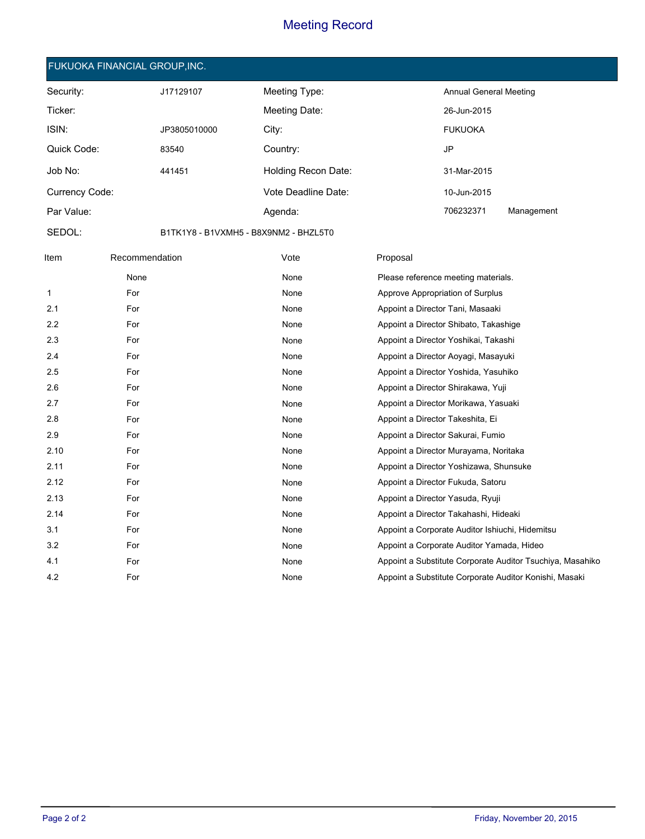#### **FUKUOKA FINANCIAL GROUP,INC.**

| Security:      | J17129107    | Meeting Type:       | <b>Annual General Meeting</b> |            |
|----------------|--------------|---------------------|-------------------------------|------------|
| Ticker:        |              | Meeting Date:       | 26-Jun-2015                   |            |
| ISIN:          | JP3805010000 | City:               | <b>FUKUOKA</b>                |            |
| Quick Code:    | 83540        | Country:            | JP                            |            |
| Job No:        | 441451       | Holding Recon Date: | 31-Mar-2015                   |            |
| Currency Code: |              | Vote Deadline Date: | 10-Jun-2015                   |            |
| Par Value:     |              | Agenda:             | 706232371                     | Management |

**SEDOL:**

B1TK1Y8 - B1VXMH5 - B8X9NM2 - BHZL5T0

| Item | Recommendation | Vote | Proposal                                                  |
|------|----------------|------|-----------------------------------------------------------|
|      | None           | None | Please reference meeting materials.                       |
| 1    | For            | None | Approve Appropriation of Surplus                          |
| 2.1  | For            | None | Appoint a Director Tani, Masaaki                          |
| 2.2  | For            | None | Appoint a Director Shibato, Takashige                     |
| 2.3  | For            | None | Appoint a Director Yoshikai, Takashi                      |
| 2.4  | For            | None | Appoint a Director Aoyagi, Masayuki                       |
| 2.5  | For            | None | Appoint a Director Yoshida, Yasuhiko                      |
| 2.6  | For            | None | Appoint a Director Shirakawa, Yuji                        |
| 2.7  | For            | None | Appoint a Director Morikawa, Yasuaki                      |
| 2.8  | For            | None | Appoint a Director Takeshita, Ei                          |
| 2.9  | For            | None | Appoint a Director Sakurai, Fumio                         |
| 2.10 | For            | None | Appoint a Director Murayama, Noritaka                     |
| 2.11 | For            | None | Appoint a Director Yoshizawa, Shunsuke                    |
| 2.12 | For            | None | Appoint a Director Fukuda, Satoru                         |
| 2.13 | For            | None | Appoint a Director Yasuda, Ryuji                          |
| 2.14 | For            | None | Appoint a Director Takahashi, Hideaki                     |
| 3.1  | For            | None | Appoint a Corporate Auditor Ishiuchi, Hidemitsu           |
| 3.2  | For            | None | Appoint a Corporate Auditor Yamada, Hideo                 |
| 4.1  | For            | None | Appoint a Substitute Corporate Auditor Tsuchiya, Masahiko |
| 4.2  | For            | None | Appoint a Substitute Corporate Auditor Konishi, Masaki    |